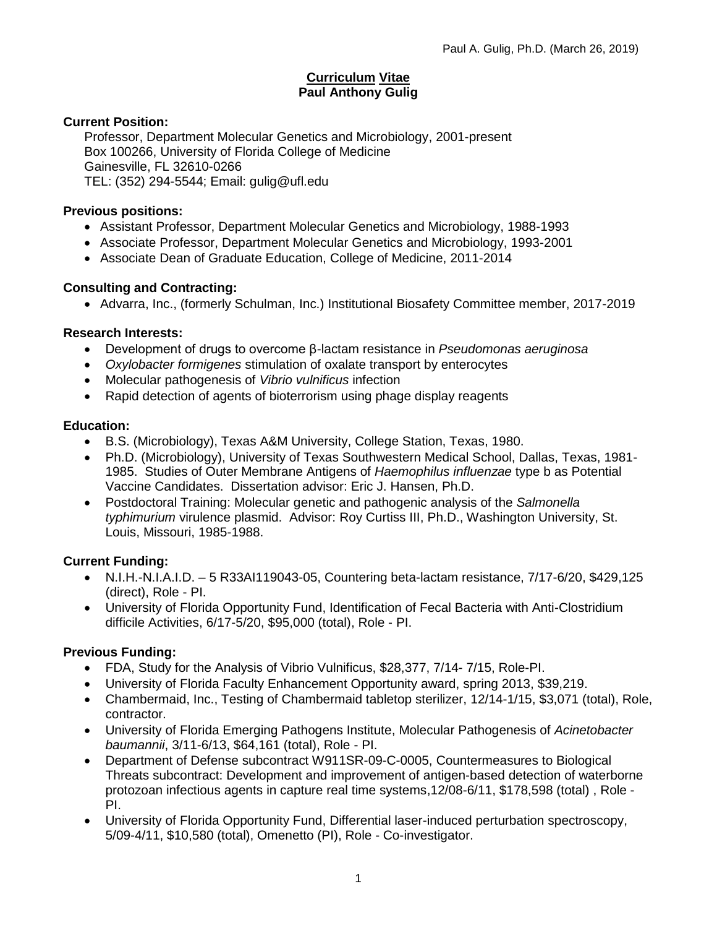### **Curriculum Vitae Paul Anthony Gulig**

### **Current Position:**

Professor, Department Molecular Genetics and Microbiology, 2001-present Box 100266, University of Florida College of Medicine Gainesville, FL 32610-0266 TEL: (352) 294-5544; Email: gulig@ufl.edu

#### **Previous positions:**

- Assistant Professor, Department Molecular Genetics and Microbiology, 1988-1993
- Associate Professor, Department Molecular Genetics and Microbiology, 1993-2001
- Associate Dean of Graduate Education, College of Medicine, 2011-2014

#### **Consulting and Contracting:**

Advarra, Inc., (formerly Schulman, Inc.) Institutional Biosafety Committee member, 2017-2019

#### **Research Interests:**

- Development of drugs to overcome β-lactam resistance in *Pseudomonas aeruginosa*
- *Oxylobacter formigenes* stimulation of oxalate transport by enterocytes
- Molecular pathogenesis of *Vibrio vulnificus* infection
- Rapid detection of agents of bioterrorism using phage display reagents

#### **Education:**

- B.S. (Microbiology), Texas A&M University, College Station, Texas, 1980.
- Ph.D. (Microbiology), University of Texas Southwestern Medical School, Dallas, Texas, 1981- 1985. Studies of Outer Membrane Antigens of *Haemophilus influenzae* type b as Potential Vaccine Candidates. Dissertation advisor: Eric J. Hansen, Ph.D.
- Postdoctoral Training: Molecular genetic and pathogenic analysis of the *Salmonella typhimurium* virulence plasmid. Advisor: Roy Curtiss III, Ph.D., Washington University, St. Louis, Missouri, 1985-1988.

### **Current Funding:**

- N.I.H.-N.I.A.I.D. 5 R33AI119043-05, Countering beta-lactam resistance, 7/17-6/20, \$429,125 (direct), Role - PI.
- University of Florida Opportunity Fund, Identification of Fecal Bacteria with Anti-Clostridium difficile Activities, 6/17-5/20, \$95,000 (total), Role - PI.

### **Previous Funding:**

- FDA, Study for the Analysis of Vibrio Vulnificus, \$28,377, 7/14- 7/15, Role-PI.
- University of Florida Faculty Enhancement Opportunity award, spring 2013, \$39,219.
- Chambermaid, Inc., Testing of Chambermaid tabletop sterilizer, 12/14-1/15, \$3,071 (total), Role, contractor.
- University of Florida Emerging Pathogens Institute, Molecular Pathogenesis of *Acinetobacter baumannii*, 3/11-6/13, \$64,161 (total), Role - PI.
- Department of Defense subcontract W911SR-09-C-0005, Countermeasures to Biological Threats subcontract: Development and improvement of antigen-based detection of waterborne protozoan infectious agents in capture real time systems,12/08-6/11, \$178,598 (total) , Role - PI.
- University of Florida Opportunity Fund, Differential laser-induced perturbation spectroscopy, 5/09-4/11, \$10,580 (total), Omenetto (PI), Role - Co-investigator.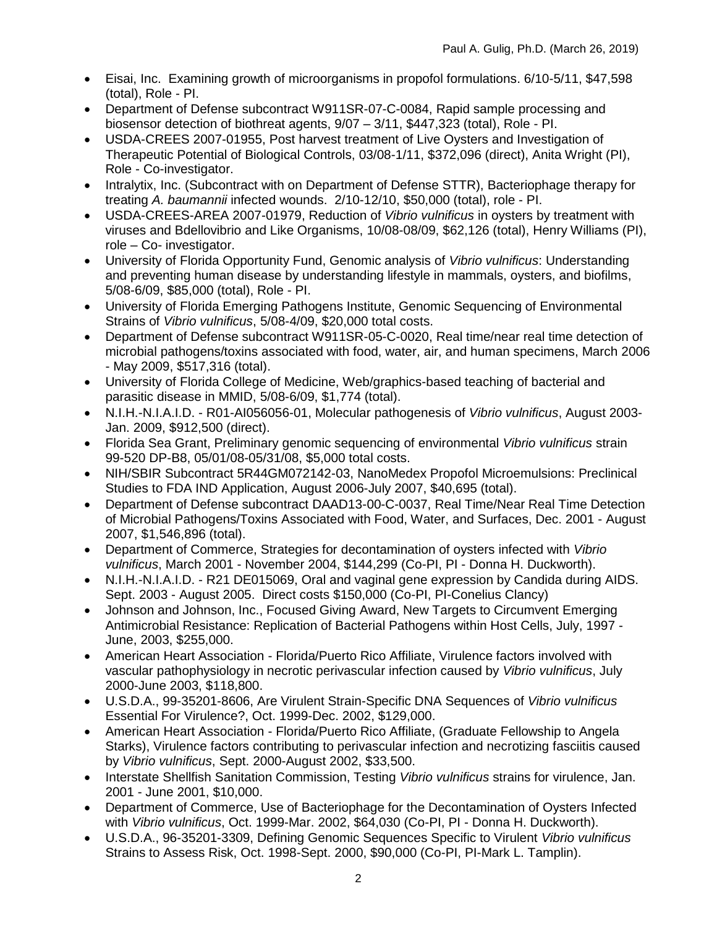- Eisai, Inc. Examining growth of microorganisms in propofol formulations. 6/10-5/11, \$47,598 (total), Role - PI.
- Department of Defense subcontract W911SR-07-C-0084, Rapid sample processing and biosensor detection of biothreat agents, 9/07 – 3/11, \$447,323 (total), Role - PI.
- USDA-CREES 2007-01955, Post harvest treatment of Live Oysters and Investigation of Therapeutic Potential of Biological Controls, 03/08-1/11, \$372,096 (direct), Anita Wright (PI), Role - Co-investigator.
- Intralytix, Inc. (Subcontract with on Department of Defense STTR), Bacteriophage therapy for treating *A. baumannii* infected wounds. 2/10-12/10, \$50,000 (total), role - PI.
- USDA-CREES-AREA 2007-01979, Reduction of *Vibrio vulnificus* in oysters by treatment with viruses and Bdellovibrio and Like Organisms, 10/08-08/09, \$62,126 (total), Henry Williams (PI), role – Co- investigator.
- University of Florida Opportunity Fund, Genomic analysis of *Vibrio vulnificus*: Understanding and preventing human disease by understanding lifestyle in mammals, oysters, and biofilms, 5/08-6/09, \$85,000 (total), Role - PI.
- University of Florida Emerging Pathogens Institute, Genomic Sequencing of Environmental Strains of *Vibrio vulnificus*, 5/08-4/09, \$20,000 total costs.
- Department of Defense subcontract W911SR-05-C-0020, Real time/near real time detection of microbial pathogens/toxins associated with food, water, air, and human specimens, March 2006 - May 2009, \$517,316 (total).
- University of Florida College of Medicine, Web/graphics-based teaching of bacterial and parasitic disease in MMID, 5/08-6/09, \$1,774 (total).
- N.I.H.-N.I.A.I.D. R01-AI056056-01, Molecular pathogenesis of *Vibrio vulnificus*, August 2003- Jan. 2009, \$912,500 (direct).
- Florida Sea Grant, Preliminary genomic sequencing of environmental *Vibrio vulnificus* strain 99-520 DP-B8, 05/01/08-05/31/08, \$5,000 total costs.
- NIH/SBIR Subcontract 5R44GM072142-03, NanoMedex Propofol Microemulsions: Preclinical Studies to FDA IND Application, August 2006-July 2007, \$40,695 (total).
- Department of Defense subcontract DAAD13-00-C-0037, Real Time/Near Real Time Detection of Microbial Pathogens/Toxins Associated with Food, Water, and Surfaces, Dec. 2001 - August 2007, \$1,546,896 (total).
- Department of Commerce, Strategies for decontamination of oysters infected with *Vibrio vulnificus*, March 2001 - November 2004, \$144,299 (Co-PI, PI - Donna H. Duckworth).
- N.I.H.-N.I.A.I.D. R21 DE015069, Oral and vaginal gene expression by Candida during AIDS. Sept. 2003 - August 2005. Direct costs \$150,000 (Co-PI, PI-Conelius Clancy)
- Johnson and Johnson, Inc., Focused Giving Award, New Targets to Circumvent Emerging Antimicrobial Resistance: Replication of Bacterial Pathogens within Host Cells, July, 1997 - June, 2003, \$255,000.
- American Heart Association Florida/Puerto Rico Affiliate, Virulence factors involved with vascular pathophysiology in necrotic perivascular infection caused by *Vibrio vulnificus*, July 2000-June 2003, \$118,800.
- U.S.D.A., 99-35201-8606, Are Virulent Strain-Specific DNA Sequences of *Vibrio vulnificus* Essential For Virulence?, Oct. 1999-Dec. 2002, \$129,000.
- American Heart Association Florida/Puerto Rico Affiliate, (Graduate Fellowship to Angela Starks), Virulence factors contributing to perivascular infection and necrotizing fasciitis caused by *Vibrio vulnificus*, Sept. 2000-August 2002, \$33,500.
- Interstate Shellfish Sanitation Commission, Testing *Vibrio vulnificus* strains for virulence, Jan. 2001 - June 2001, \$10,000.
- Department of Commerce, Use of Bacteriophage for the Decontamination of Oysters Infected with *Vibrio vulnificus*, Oct. 1999-Mar. 2002, \$64,030 (Co-PI, PI - Donna H. Duckworth).
- U.S.D.A., 96-35201-3309, Defining Genomic Sequences Specific to Virulent *Vibrio vulnificus* Strains to Assess Risk, Oct. 1998-Sept. 2000, \$90,000 (Co-PI, PI-Mark L. Tamplin).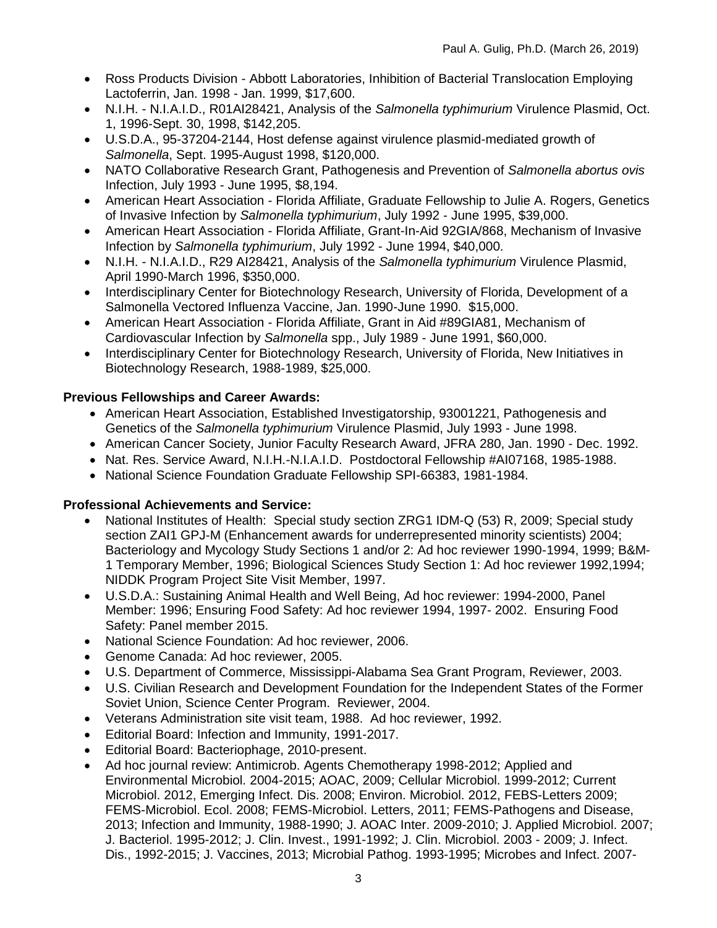- Ross Products Division Abbott Laboratories, Inhibition of Bacterial Translocation Employing Lactoferrin, Jan. 1998 - Jan. 1999, \$17,600.
- N.I.H. N.I.A.I.D., R01AI28421, Analysis of the *Salmonella typhimurium* Virulence Plasmid, Oct. 1, 1996-Sept. 30, 1998, \$142,205.
- U.S.D.A., 95-37204-2144, Host defense against virulence plasmid-mediated growth of *Salmonella*, Sept. 1995-August 1998, \$120,000.
- NATO Collaborative Research Grant, Pathogenesis and Prevention of *Salmonella abortus ovis* Infection, July 1993 - June 1995, \$8,194.
- American Heart Association Florida Affiliate, Graduate Fellowship to Julie A. Rogers, Genetics of Invasive Infection by *Salmonella typhimurium*, July 1992 - June 1995, \$39,000.
- American Heart Association Florida Affiliate, Grant-In-Aid 92GIA/868, Mechanism of Invasive Infection by *Salmonella typhimurium*, July 1992 - June 1994, \$40,000.
- N.I.H. N.I.A.I.D., R29 AI28421, Analysis of the *Salmonella typhimurium* Virulence Plasmid, April 1990-March 1996, \$350,000.
- Interdisciplinary Center for Biotechnology Research, University of Florida, Development of a Salmonella Vectored Influenza Vaccine, Jan. 1990-June 1990. \$15,000.
- American Heart Association Florida Affiliate, Grant in Aid #89GIA81, Mechanism of Cardiovascular Infection by *Salmonella* spp., July 1989 - June 1991, \$60,000.
- Interdisciplinary Center for Biotechnology Research, University of Florida, New Initiatives in Biotechnology Research, 1988-1989, \$25,000.

### **Previous Fellowships and Career Awards:**

- American Heart Association, Established Investigatorship, 93001221, Pathogenesis and Genetics of the *Salmonella typhimurium* Virulence Plasmid, July 1993 - June 1998.
- American Cancer Society, Junior Faculty Research Award, JFRA 280, Jan. 1990 Dec. 1992.
- Nat. Res. Service Award, N.I.H.-N.I.A.I.D. Postdoctoral Fellowship #AI07168, 1985-1988.
- National Science Foundation Graduate Fellowship SPI-66383, 1981-1984.

### **Professional Achievements and Service:**

- National Institutes of Health: Special study section ZRG1 IDM-Q (53) R, 2009; Special study section ZAI1 GPJ-M (Enhancement awards for underrepresented minority scientists) 2004; Bacteriology and Mycology Study Sections 1 and/or 2: Ad hoc reviewer 1990-1994, 1999; B&M-1 Temporary Member, 1996; Biological Sciences Study Section 1: Ad hoc reviewer 1992,1994; NIDDK Program Project Site Visit Member, 1997.
- U.S.D.A.: Sustaining Animal Health and Well Being, Ad hoc reviewer: 1994-2000, Panel Member: 1996; Ensuring Food Safety: Ad hoc reviewer 1994, 1997- 2002. Ensuring Food Safety: Panel member 2015.
- National Science Foundation: Ad hoc reviewer, 2006.
- Genome Canada: Ad hoc reviewer, 2005.
- U.S. Department of Commerce, Mississippi-Alabama Sea Grant Program, Reviewer, 2003.
- U.S. Civilian Research and Development Foundation for the Independent States of the Former Soviet Union, Science Center Program. Reviewer, 2004.
- Veterans Administration site visit team, 1988. Ad hoc reviewer, 1992.
- Editorial Board: Infection and Immunity, 1991-2017.
- Editorial Board: Bacteriophage, 2010-present.
- Ad hoc journal review: Antimicrob. Agents Chemotherapy 1998-2012; Applied and Environmental Microbiol. 2004-2015; AOAC, 2009; Cellular Microbiol. 1999-2012; Current Microbiol. 2012, Emerging Infect. Dis. 2008; Environ. Microbiol. 2012, FEBS-Letters 2009; FEMS-Microbiol. Ecol. 2008; FEMS-Microbiol. Letters, 2011; FEMS-Pathogens and Disease, 2013; Infection and Immunity, 1988-1990; J. AOAC Inter. 2009-2010; J. Applied Microbiol. 2007; J. Bacteriol. 1995-2012; J. Clin. Invest., 1991-1992; J. Clin. Microbiol. 2003 - 2009; J. Infect. Dis., 1992-2015; J. Vaccines, 2013; Microbial Pathog. 1993-1995; Microbes and Infect. 2007-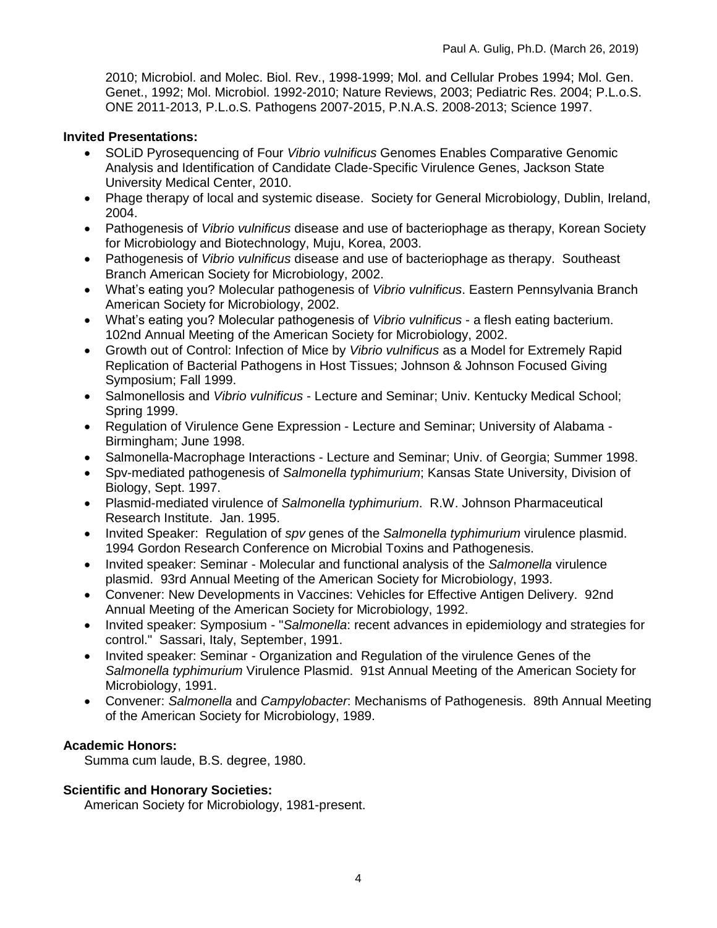2010; Microbiol. and Molec. Biol. Rev., 1998-1999; Mol. and Cellular Probes 1994; Mol. Gen. Genet., 1992; Mol. Microbiol. 1992-2010; Nature Reviews, 2003; Pediatric Res. 2004; P.L.o.S. ONE 2011-2013, P.L.o.S. Pathogens 2007-2015, P.N.A.S. 2008-2013; Science 1997.

#### **Invited Presentations:**

- SOLiD Pyrosequencing of Four *Vibrio vulnificus* Genomes Enables Comparative Genomic Analysis and Identification of Candidate Clade-Specific Virulence Genes, Jackson State University Medical Center, 2010.
- Phage therapy of local and systemic disease. Society for General Microbiology, Dublin, Ireland, 2004.
- Pathogenesis of *Vibrio vulnificus* disease and use of bacteriophage as therapy, Korean Society for Microbiology and Biotechnology, Muju, Korea, 2003.
- Pathogenesis of *Vibrio vulnificus* disease and use of bacteriophage as therapy. Southeast Branch American Society for Microbiology, 2002.
- What's eating you? Molecular pathogenesis of *Vibrio vulnificus*. Eastern Pennsylvania Branch American Society for Microbiology, 2002.
- What's eating you? Molecular pathogenesis of *Vibrio vulnificus* a flesh eating bacterium. 102nd Annual Meeting of the American Society for Microbiology, 2002.
- Growth out of Control: Infection of Mice by *Vibrio vulnificus* as a Model for Extremely Rapid Replication of Bacterial Pathogens in Host Tissues; Johnson & Johnson Focused Giving Symposium; Fall 1999.
- Salmonellosis and *Vibrio vulnificus* Lecture and Seminar; Univ. Kentucky Medical School; Spring 1999.
- Regulation of Virulence Gene Expression Lecture and Seminar; University of Alabama Birmingham; June 1998.
- Salmonella-Macrophage Interactions Lecture and Seminar; Univ. of Georgia; Summer 1998.
- Spv-mediated pathogenesis of *Salmonella typhimurium*; Kansas State University, Division of Biology, Sept. 1997.
- Plasmid-mediated virulence of *Salmonella typhimurium*. R.W. Johnson Pharmaceutical Research Institute. Jan. 1995.
- Invited Speaker: Regulation of *spv* genes of the *Salmonella typhimurium* virulence plasmid. 1994 Gordon Research Conference on Microbial Toxins and Pathogenesis.
- Invited speaker: Seminar Molecular and functional analysis of the *Salmonella* virulence plasmid. 93rd Annual Meeting of the American Society for Microbiology, 1993.
- Convener: New Developments in Vaccines: Vehicles for Effective Antigen Delivery. 92nd Annual Meeting of the American Society for Microbiology, 1992.
- Invited speaker: Symposium "*Salmonella*: recent advances in epidemiology and strategies for control." Sassari, Italy, September, 1991.
- Invited speaker: Seminar Organization and Regulation of the virulence Genes of the *Salmonella typhimurium* Virulence Plasmid. 91st Annual Meeting of the American Society for Microbiology, 1991.
- Convener: *Salmonella* and *Campylobacter*: Mechanisms of Pathogenesis. 89th Annual Meeting of the American Society for Microbiology, 1989.

### **Academic Honors:**

Summa cum laude, B.S. degree, 1980.

### **Scientific and Honorary Societies:**

American Society for Microbiology, 1981-present.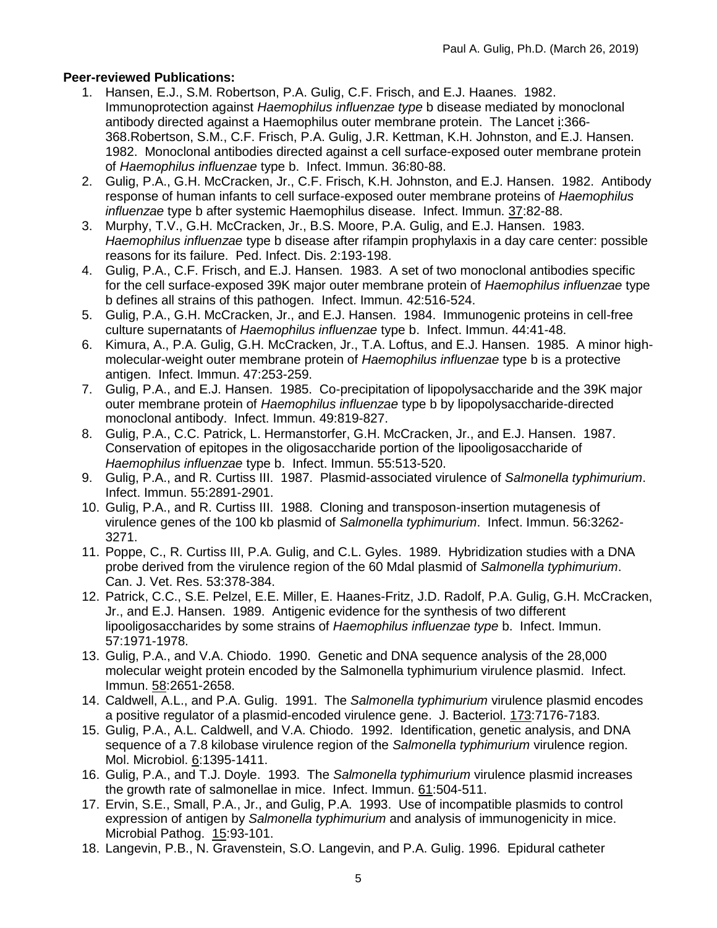### **Peer-reviewed Publications:**

- 1. Hansen, E.J., S.M. Robertson, P.A. Gulig, C.F. Frisch, and E.J. Haanes. 1982. Immunoprotection against *Haemophilus influenzae type* b disease mediated by monoclonal antibody directed against a Haemophilus outer membrane protein. The Lancet i:366- 368.Robertson, S.M., C.F. Frisch, P.A. Gulig, J.R. Kettman, K.H. Johnston, and E.J. Hansen. 1982. Monoclonal antibodies directed against a cell surface-exposed outer membrane protein of *Haemophilus influenzae* type b. Infect. Immun. 36:80-88.
- 2. Gulig, P.A., G.H. McCracken, Jr., C.F. Frisch, K.H. Johnston, and E.J. Hansen. 1982. Antibody response of human infants to cell surface-exposed outer membrane proteins of *Haemophilus influenzae* type b after systemic Haemophilus disease. Infect. Immun. 37:82-88.
- 3. Murphy, T.V., G.H. McCracken, Jr., B.S. Moore, P.A. Gulig, and E.J. Hansen. 1983. *Haemophilus influenzae* type b disease after rifampin prophylaxis in a day care center: possible reasons for its failure. Ped. Infect. Dis. 2:193-198.
- 4. Gulig, P.A., C.F. Frisch, and E.J. Hansen. 1983. A set of two monoclonal antibodies specific for the cell surface-exposed 39K major outer membrane protein of *Haemophilus influenzae* type b defines all strains of this pathogen. Infect. Immun. 42:516-524.
- 5. Gulig, P.A., G.H. McCracken, Jr., and E.J. Hansen. 1984. Immunogenic proteins in cell-free culture supernatants of *Haemophilus influenzae* type b. Infect. Immun. 44:41-48.
- 6. Kimura, A., P.A. Gulig, G.H. McCracken, Jr., T.A. Loftus, and E.J. Hansen. 1985. A minor highmolecular-weight outer membrane protein of *Haemophilus influenzae* type b is a protective antigen. Infect. Immun. 47:253-259.
- 7. Gulig, P.A., and E.J. Hansen. 1985. Co-precipitation of lipopolysaccharide and the 39K major outer membrane protein of *Haemophilus influenzae* type b by lipopolysaccharide-directed monoclonal antibody. Infect. Immun. 49:819-827.
- 8. Gulig, P.A., C.C. Patrick, L. Hermanstorfer, G.H. McCracken, Jr., and E.J. Hansen. 1987. Conservation of epitopes in the oligosaccharide portion of the lipooligosaccharide of *Haemophilus influenzae* type b. Infect. Immun. 55:513-520.
- 9. Gulig, P.A., and R. Curtiss III. 1987. Plasmid-associated virulence of *Salmonella typhimurium*. Infect. Immun. 55:2891-2901.
- 10. Gulig, P.A., and R. Curtiss III. 1988. Cloning and transposon-insertion mutagenesis of virulence genes of the 100 kb plasmid of *Salmonella typhimurium*. Infect. Immun. 56:3262- 3271.
- 11. Poppe, C., R. Curtiss III, P.A. Gulig, and C.L. Gyles. 1989. Hybridization studies with a DNA probe derived from the virulence region of the 60 Mdal plasmid of *Salmonella typhimurium*. Can. J. Vet. Res. 53:378-384.
- 12. Patrick, C.C., S.E. Pelzel, E.E. Miller, E. Haanes-Fritz, J.D. Radolf, P.A. Gulig, G.H. McCracken, Jr., and E.J. Hansen. 1989. Antigenic evidence for the synthesis of two different lipooligosaccharides by some strains of *Haemophilus influenzae type* b. Infect. Immun. 57:1971-1978.
- 13. Gulig, P.A., and V.A. Chiodo. 1990. Genetic and DNA sequence analysis of the 28,000 molecular weight protein encoded by the Salmonella typhimurium virulence plasmid. Infect. Immun. 58:2651-2658.
- 14. Caldwell, A.L., and P.A. Gulig. 1991. The *Salmonella typhimurium* virulence plasmid encodes a positive regulator of a plasmid-encoded virulence gene. J. Bacteriol. 173:7176-7183.
- 15. Gulig, P.A., A.L. Caldwell, and V.A. Chiodo. 1992. Identification, genetic analysis, and DNA sequence of a 7.8 kilobase virulence region of the *Salmonella typhimurium* virulence region. Mol. Microbiol. 6:1395-1411.
- 16. Gulig, P.A., and T.J. Doyle. 1993. The *Salmonella typhimurium* virulence plasmid increases the growth rate of salmonellae in mice. Infect. Immun. 61:504-511.
- 17. Ervin, S.E., Small, P.A., Jr., and Gulig, P.A. 1993. Use of incompatible plasmids to control expression of antigen by *Salmonella typhimurium* and analysis of immunogenicity in mice. Microbial Pathog. 15:93-101.
- 18. Langevin, P.B., N. Gravenstein, S.O. Langevin, and P.A. Gulig. 1996. Epidural catheter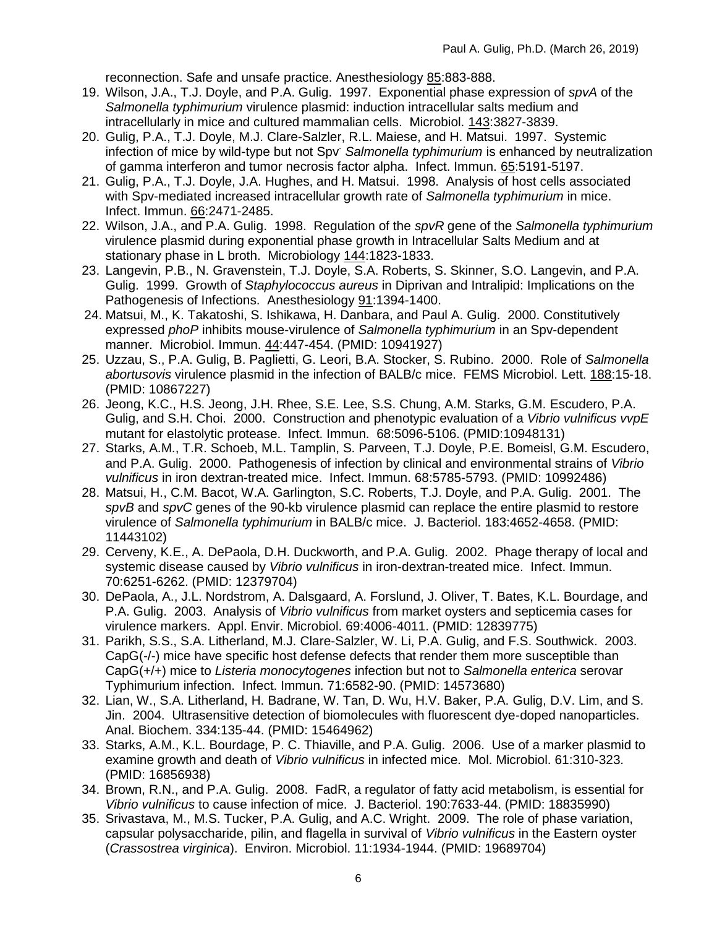reconnection. Safe and unsafe practice. Anesthesiology 85:883-888.

- 19. Wilson, J.A., T.J. Doyle, and P.A. Gulig. 1997. Exponential phase expression of *spvA* of the *Salmonella typhimurium* virulence plasmid: induction intracellular salts medium and intracellularly in mice and cultured mammalian cells. Microbiol. 143:3827-3839.
- 20. Gulig, P.A., T.J. Doyle, M.J. Clare-Salzler, R.L. Maiese, and H. Matsui. 1997. Systemic infection of mice by wild-type but not Spv- *Salmonella typhimurium* is enhanced by neutralization of gamma interferon and tumor necrosis factor alpha. Infect. Immun. 65:5191-5197.
- 21. Gulig, P.A., T.J. Doyle, J.A. Hughes, and H. Matsui. 1998. Analysis of host cells associated with Spv-mediated increased intracellular growth rate of *Salmonella typhimurium* in mice. Infect. Immun. 66:2471-2485.
- 22. Wilson, J.A., and P.A. Gulig. 1998. Regulation of the *spvR* gene of the *Salmonella typhimurium* virulence plasmid during exponential phase growth in Intracellular Salts Medium and at stationary phase in L broth. Microbiology 144:1823-1833.
- 23. Langevin, P.B., N. Gravenstein, T.J. Doyle, S.A. Roberts, S. Skinner, S.O. Langevin, and P.A. Gulig. 1999. Growth of *Staphylococcus aureus* in Diprivan and Intralipid: Implications on the Pathogenesis of Infections. Anesthesiology 91:1394-1400.
- 24. Matsui, M., K. Takatoshi, S. Ishikawa, H. Danbara, and Paul A. Gulig. 2000. Constitutively expressed *phoP* inhibits mouse-virulence of *Salmonella typhimurium* in an Spv-dependent manner. Microbiol. Immun. 44:447-454. (PMID: 10941927)
- 25. Uzzau, S., P.A. Gulig, B. Paglietti, G. Leori, B.A. Stocker, S. Rubino. 2000. Role of *Salmonella abortusovis* virulence plasmid in the infection of BALB/c mice. FEMS Microbiol. Lett. 188:15-18. (PMID: 10867227)
- 26. Jeong, K.C., H.S. Jeong, J.H. Rhee, S.E. Lee, S.S. Chung, A.M. Starks, G.M. Escudero, P.A. Gulig, and S.H. Choi. 2000. Construction and phenotypic evaluation of a *Vibrio vulnificus vvpE* mutant for elastolytic protease. Infect. Immun. 68:5096-5106. (PMID:10948131)
- 27. Starks, A.M., T.R. Schoeb, M.L. Tamplin, S. Parveen, T.J. Doyle, P.E. Bomeisl, G.M. Escudero, and P.A. Gulig. 2000. Pathogenesis of infection by clinical and environmental strains of *Vibrio vulnificus* in iron dextran-treated mice. Infect. Immun. 68:5785-5793. (PMID: 10992486)
- 28. Matsui, H., C.M. Bacot, W.A. Garlington, S.C. Roberts, T.J. Doyle, and P.A. Gulig. 2001. The *spvB* and *spvC* genes of the 90-kb virulence plasmid can replace the entire plasmid to restore virulence of *Salmonella typhimurium* in BALB/c mice. J. Bacteriol. 183:4652-4658. (PMID: 11443102)
- 29. Cerveny, K.E., A. DePaola, D.H. Duckworth, and P.A. Gulig. 2002. Phage therapy of local and systemic disease caused by *Vibrio vulnificus* in iron-dextran-treated mice. Infect. Immun. 70:6251-6262. (PMID: 12379704)
- 30. DePaola, A., J.L. Nordstrom, A. Dalsgaard, A. Forslund, J. Oliver, T. Bates, K.L. Bourdage, and P.A. Gulig. 2003. Analysis of *Vibrio vulnificus* from market oysters and septicemia cases for virulence markers. Appl. Envir. Microbiol. 69:4006-4011. (PMID: 12839775)
- 31. Parikh, S.S., S.A. Litherland, M.J. Clare-Salzler, W. Li, P.A. Gulig, and F.S. Southwick. 2003. CapG(-/-) mice have specific host defense defects that render them more susceptible than CapG(+/+) mice to *Listeria monocytogenes* infection but not to *Salmonella enterica* serovar Typhimurium infection. Infect. Immun. 71:6582-90. (PMID: 14573680)
- 32. Lian, W., S.A. Litherland, H. Badrane, W. Tan, D. Wu, H.V. Baker, P.A. Gulig, D.V. Lim, and S. Jin. 2004. Ultrasensitive detection of biomolecules with fluorescent dye-doped nanoparticles. Anal. Biochem. 334:135-44. (PMID: 15464962)
- 33. Starks, A.M., K.L. Bourdage, P. C. Thiaville, and P.A. Gulig. 2006. Use of a marker plasmid to examine growth and death of *Vibrio vulnificus* in infected mice. Mol. Microbiol. 61:310-323. (PMID: 16856938)
- 34. Brown, R.N., and P.A. Gulig. 2008. FadR, a regulator of fatty acid metabolism, is essential for *Vibrio vulnificus* to cause infection of mice. J. Bacteriol. 190:7633-44. (PMID: 18835990)
- 35. Srivastava, M., M.S. Tucker, P.A. Gulig, and A.C. Wright. 2009. The role of phase variation, capsular polysaccharide, pilin, and flagella in survival of *Vibrio vulnificus* in the Eastern oyster (*Crassostrea virginica*). Environ. Microbiol. 11:1934-1944. (PMID: 19689704)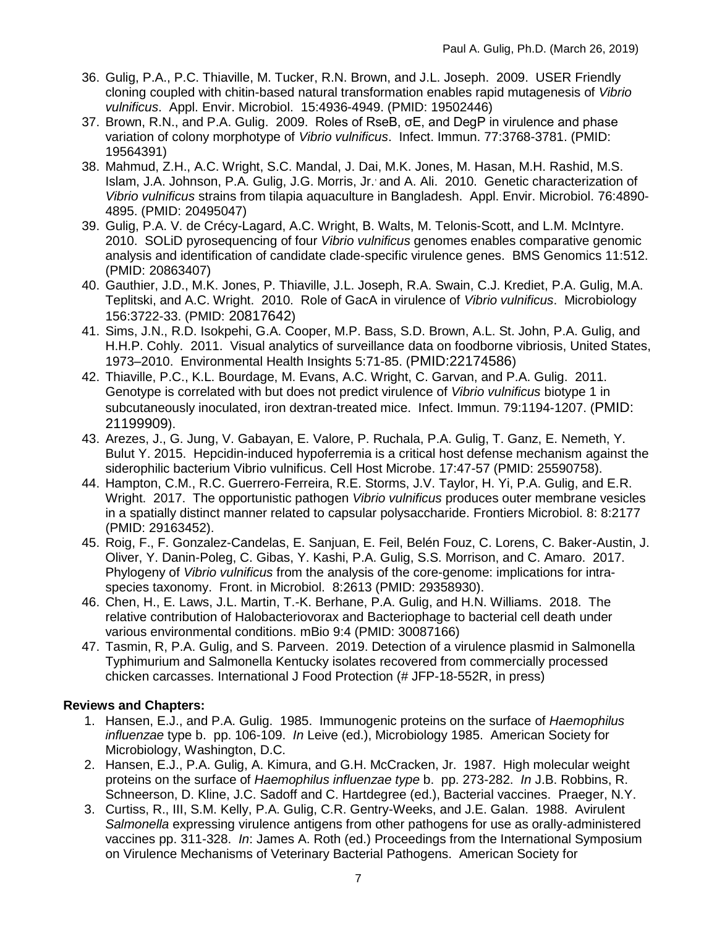- 36. Gulig, P.A., P.C. Thiaville, M. Tucker, R.N. Brown, and J.L. Joseph. 2009. USER Friendly cloning coupled with chitin-based natural transformation enables rapid mutagenesis of *Vibrio vulnificus*. Appl. Envir. Microbiol. 15:4936-4949. (PMID: 19502446)
- 37. Brown, R.N., and P.A. Gulig. 2009. Roles of RseB, σE, and DegP in virulence and phase variation of colony morphotype of *Vibrio vulnificus*. Infect. Immun. 77:3768-3781. (PMID: 19564391)
- 38. Mahmud, Z.H., A.C. Wright, S.C. Mandal, J. Dai, M.K. Jones, M. Hasan, M.H. Rashid, M.S. Islam, J.A. Johnson, P.A. Gulig, J.G. Morris, Jr., and A. Ali. 2010. Genetic characterization of *Vibrio vulnificus* strains from tilapia aquaculture in Bangladesh. Appl. Envir. Microbiol. 76:4890- 4895. (PMID: 20495047)
- 39. Gulig, P.A. V. de Crécy-Lagard, A.C. Wright, B. Walts, M. Telonis-Scott, and L.M. McIntyre. 2010. SOLiD pyrosequencing of four *Vibrio vulnificus* genomes enables comparative genomic analysis and identification of candidate clade-specific virulence genes. BMS Genomics 11:512. (PMID: 20863407)
- 40. Gauthier, J.D., M.K. Jones, P. Thiaville, J.L. Joseph, R.A. Swain, C.J. Krediet, P.A. Gulig, M.A. Teplitski, and A.C. Wright. 2010. Role of GacA in virulence of *Vibrio vulnificus*. Microbiology 156:3722-33. (PMID: 20817642)
- 41. Sims, J.N., R.D. Isokpehi, G.A. Cooper, M.P. Bass, S.D. Brown, A.L. St. John, P.A. Gulig, and H.H.P. Cohly. 2011. Visual analytics of surveillance data on foodborne vibriosis, United States, 1973–2010. Environmental Health Insights 5:71-85. (PMID:22174586)
- 42. Thiaville, P.C., K.L. Bourdage, M. Evans, A.C. Wright, C. Garvan, and P.A. Gulig. 2011. Genotype is correlated with but does not predict virulence of *Vibrio vulnificus* biotype 1 in subcutaneously inoculated, iron dextran-treated mice. Infect. Immun. 79:1194-1207. (PMID: 21199909).
- 43. Arezes, J., G. Jung, V. Gabayan, E. Valore, P. Ruchala, P.A. Gulig, T. Ganz, E. Nemeth, Y. Bulut Y. 2015. Hepcidin-induced hypoferremia is a critical host defense mechanism against the siderophilic bacterium Vibrio vulnificus. Cell Host Microbe. 17:47-57 (PMID: 25590758).
- 44. Hampton, C.M., R.C. Guerrero-Ferreira, R.E. Storms, J.V. Taylor, H. Yi, P.A. Gulig, and E.R. Wright. 2017. The opportunistic pathogen *Vibrio vulnificus* produces outer membrane vesicles in a spatially distinct manner related to capsular polysaccharide. Frontiers Microbiol. 8: 8:2177 (PMID: 29163452).
- 45. Roig, F., F. Gonzalez-Candelas, E. Sanjuan, E. Feil, Belén Fouz, C. Lorens, C. Baker-Austin, J. Oliver, Y. Danin-Poleg, C. Gibas, Y. Kashi, P.A. Gulig, S.S. Morrison, and C. Amaro. 2017. Phylogeny of *Vibrio vulnificus* from the analysis of the core-genome: implications for intraspecies taxonomy. Front. in Microbiol. 8:2613 (PMID: 29358930).
- 46. Chen, H., E. Laws, J.L. Martin, T.-K. Berhane, P.A. Gulig, and H.N. Williams. 2018. The relative contribution of Halobacteriovorax and Bacteriophage to bacterial cell death under various environmental conditions. mBio 9:4 (PMID: 30087166)
- 47. Tasmin, R, P.A. Gulig, and S. Parveen. 2019. Detection of a virulence plasmid in Salmonella Typhimurium and Salmonella Kentucky isolates recovered from commercially processed chicken carcasses. International J Food Protection (# JFP-18-552R, in press)

### **Reviews and Chapters:**

- 1. Hansen, E.J., and P.A. Gulig. 1985. Immunogenic proteins on the surface of *Haemophilus influenzae* type b. pp. 106-109. *In* Leive (ed.), Microbiology 1985. American Society for Microbiology, Washington, D.C.
- 2. Hansen, E.J., P.A. Gulig, A. Kimura, and G.H. McCracken, Jr. 1987. High molecular weight proteins on the surface of *Haemophilus influenzae type* b. pp. 273-282. *In* J.B. Robbins, R. Schneerson, D. Kline, J.C. Sadoff and C. Hartdegree (ed.), Bacterial vaccines. Praeger, N.Y.
- 3. Curtiss, R., III, S.M. Kelly, P.A. Gulig, C.R. Gentry-Weeks, and J.E. Galan. 1988. Avirulent *Salmonella* expressing virulence antigens from other pathogens for use as orally-administered vaccines pp. 311-328. *In*: James A. Roth (ed.) Proceedings from the International Symposium on Virulence Mechanisms of Veterinary Bacterial Pathogens. American Society for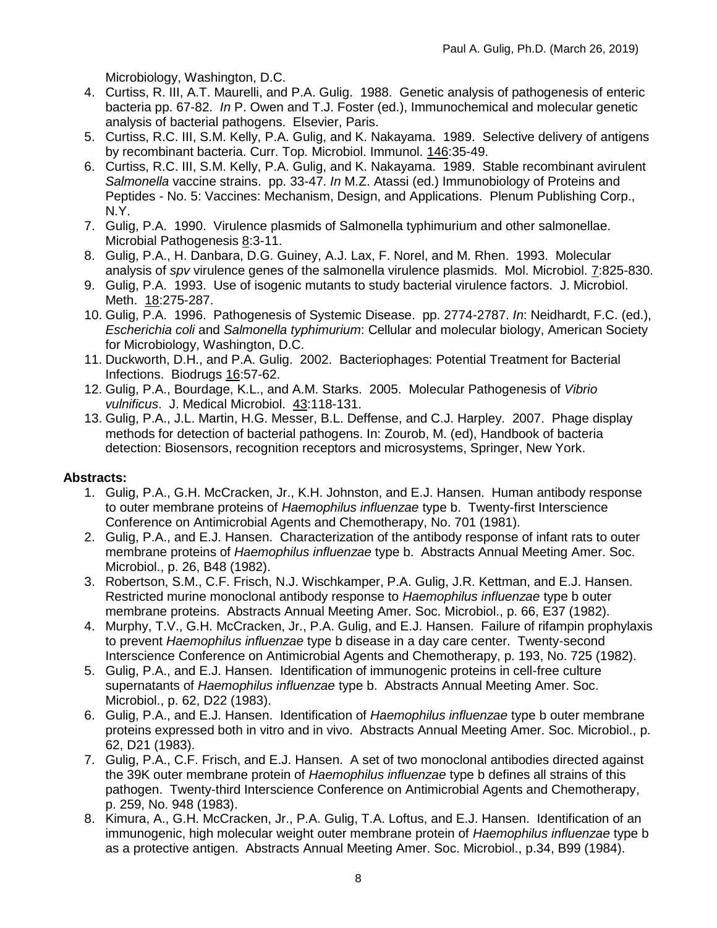Microbiology, Washington, D.C.

- 4. Curtiss, R. III, A.T. Maurelli, and P.A. Gulig. 1988. Genetic analysis of pathogenesis of enteric bacteria pp. 67-82. *In* P. Owen and T.J. Foster (ed.), Immunochemical and molecular genetic analysis of bacterial pathogens. Elsevier, Paris.
- 5. Curtiss, R.C. III, S.M. Kelly, P.A. Gulig, and K. Nakayama. 1989. Selective delivery of antigens by recombinant bacteria. Curr. Top. Microbiol. Immunol. 146:35-49.
- 6. Curtiss, R.C. III, S.M. Kelly, P.A. Gulig, and K. Nakayama. 1989. Stable recombinant avirulent *Salmonella* vaccine strains. pp. 33-47. *In* M.Z. Atassi (ed.) Immunobiology of Proteins and Peptides - No. 5: Vaccines: Mechanism, Design, and Applications. Plenum Publishing Corp., N.Y.
- 7. Gulig, P.A. 1990. Virulence plasmids of Salmonella typhimurium and other salmonellae. Microbial Pathogenesis 8:3-11.
- 8. Gulig, P.A., H. Danbara, D.G. Guiney, A.J. Lax, F. Norel, and M. Rhen. 1993. Molecular analysis of *spv* virulence genes of the salmonella virulence plasmids. Mol. Microbiol. 7:825-830.
- 9. Gulig, P.A. 1993. Use of isogenic mutants to study bacterial virulence factors. J. Microbiol. Meth. 18:275-287.
- 10. Gulig, P.A. 1996. Pathogenesis of Systemic Disease. pp. 2774-2787. *In*: Neidhardt, F.C. (ed.), *Escherichia coli* and *Salmonella typhimurium*: Cellular and molecular biology, American Society for Microbiology, Washington, D.C.
- 11. Duckworth, D.H., and P.A. Gulig. 2002. Bacteriophages: Potential Treatment for Bacterial Infections. Biodrugs 16:57-62.
- 12. Gulig, P.A., Bourdage, K.L., and A.M. Starks. 2005. Molecular Pathogenesis of *Vibrio vulnificus*. J. Medical Microbiol. 43:118-131.
- 13. Gulig, P.A., J.L. Martin, H.G. Messer, B.L. Deffense, and C.J. Harpley. 2007. Phage display methods for detection of bacterial pathogens. In: Zourob, M. (ed), Handbook of bacteria detection: Biosensors, recognition receptors and microsystems, Springer, New York.

### **Abstracts:**

- 1. Gulig, P.A., G.H. McCracken, Jr., K.H. Johnston, and E.J. Hansen. Human antibody response to outer membrane proteins of *Haemophilus influenzae* type b. Twenty-first Interscience Conference on Antimicrobial Agents and Chemotherapy, No. 701 (1981).
- 2. Gulig, P.A., and E.J. Hansen. Characterization of the antibody response of infant rats to outer membrane proteins of *Haemophilus influenzae* type b. Abstracts Annual Meeting Amer. Soc. Microbiol., p. 26, B48 (1982).
- 3. Robertson, S.M., C.F. Frisch, N.J. Wischkamper, P.A. Gulig, J.R. Kettman, and E.J. Hansen. Restricted murine monoclonal antibody response to *Haemophilus influenzae* type b outer membrane proteins. Abstracts Annual Meeting Amer. Soc. Microbiol., p. 66, E37 (1982).
- 4. Murphy, T.V., G.H. McCracken, Jr., P.A. Gulig, and E.J. Hansen. Failure of rifampin prophylaxis to prevent *Haemophilus influenzae* type b disease in a day care center. Twenty-second Interscience Conference on Antimicrobial Agents and Chemotherapy, p. 193, No. 725 (1982).
- 5. Gulig, P.A., and E.J. Hansen. Identification of immunogenic proteins in cell-free culture supernatants of *Haemophilus influenzae* type b. Abstracts Annual Meeting Amer. Soc. Microbiol., p. 62, D22 (1983).
- 6. Gulig, P.A., and E.J. Hansen. Identification of *Haemophilus influenzae* type b outer membrane proteins expressed both in vitro and in vivo. Abstracts Annual Meeting Amer. Soc. Microbiol., p. 62, D21 (1983).
- 7. Gulig, P.A., C.F. Frisch, and E.J. Hansen. A set of two monoclonal antibodies directed against the 39K outer membrane protein of *Haemophilus influenzae* type b defines all strains of this pathogen. Twenty-third Interscience Conference on Antimicrobial Agents and Chemotherapy, p. 259, No. 948 (1983).
- 8. Kimura, A., G.H. McCracken, Jr., P.A. Gulig, T.A. Loftus, and E.J. Hansen. Identification of an immunogenic, high molecular weight outer membrane protein of *Haemophilus influenzae* type b as a protective antigen. Abstracts Annual Meeting Amer. Soc. Microbiol., p.34, B99 (1984).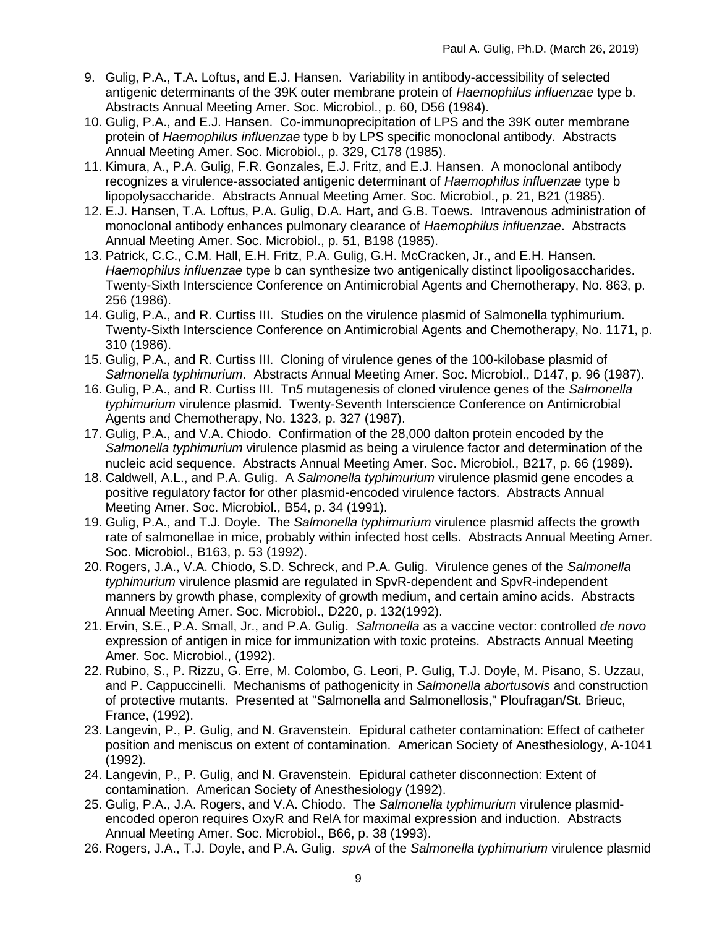- 9. Gulig, P.A., T.A. Loftus, and E.J. Hansen. Variability in antibody-accessibility of selected antigenic determinants of the 39K outer membrane protein of *Haemophilus influenzae* type b. Abstracts Annual Meeting Amer. Soc. Microbiol., p. 60, D56 (1984).
- 10. Gulig, P.A., and E.J. Hansen. Co-immunoprecipitation of LPS and the 39K outer membrane protein of *Haemophilus influenzae* type b by LPS specific monoclonal antibody. Abstracts Annual Meeting Amer. Soc. Microbiol., p. 329, C178 (1985).
- 11. Kimura, A., P.A. Gulig, F.R. Gonzales, E.J. Fritz, and E.J. Hansen. A monoclonal antibody recognizes a virulence-associated antigenic determinant of *Haemophilus influenzae* type b lipopolysaccharide. Abstracts Annual Meeting Amer. Soc. Microbiol., p. 21, B21 (1985).
- 12. E.J. Hansen, T.A. Loftus, P.A. Gulig, D.A. Hart, and G.B. Toews. Intravenous administration of monoclonal antibody enhances pulmonary clearance of *Haemophilus influenzae*. Abstracts Annual Meeting Amer. Soc. Microbiol., p. 51, B198 (1985).
- 13. Patrick, C.C., C.M. Hall, E.H. Fritz, P.A. Gulig, G.H. McCracken, Jr., and E.H. Hansen. *Haemophilus influenzae* type b can synthesize two antigenically distinct lipooligosaccharides. Twenty-Sixth Interscience Conference on Antimicrobial Agents and Chemotherapy, No. 863, p. 256 (1986).
- 14. Gulig, P.A., and R. Curtiss III. Studies on the virulence plasmid of Salmonella typhimurium. Twenty-Sixth Interscience Conference on Antimicrobial Agents and Chemotherapy, No. 1171, p. 310 (1986).
- 15. Gulig, P.A., and R. Curtiss III. Cloning of virulence genes of the 100-kilobase plasmid of *Salmonella typhimurium*. Abstracts Annual Meeting Amer. Soc. Microbiol., D147, p. 96 (1987).
- 16. Gulig, P.A., and R. Curtiss III. Tn*5* mutagenesis of cloned virulence genes of the *Salmonella typhimurium* virulence plasmid. Twenty-Seventh Interscience Conference on Antimicrobial Agents and Chemotherapy, No. 1323, p. 327 (1987).
- 17. Gulig, P.A., and V.A. Chiodo. Confirmation of the 28,000 dalton protein encoded by the *Salmonella typhimurium* virulence plasmid as being a virulence factor and determination of the nucleic acid sequence. Abstracts Annual Meeting Amer. Soc. Microbiol., B217, p. 66 (1989).
- 18. Caldwell, A.L., and P.A. Gulig. A *Salmonella typhimurium* virulence plasmid gene encodes a positive regulatory factor for other plasmid-encoded virulence factors. Abstracts Annual Meeting Amer. Soc. Microbiol., B54, p. 34 (1991).
- 19. Gulig, P.A., and T.J. Doyle. The *Salmonella typhimurium* virulence plasmid affects the growth rate of salmonellae in mice, probably within infected host cells. Abstracts Annual Meeting Amer. Soc. Microbiol., B163, p. 53 (1992).
- 20. Rogers, J.A., V.A. Chiodo, S.D. Schreck, and P.A. Gulig. Virulence genes of the *Salmonella typhimurium* virulence plasmid are regulated in SpvR-dependent and SpvR-independent manners by growth phase, complexity of growth medium, and certain amino acids. Abstracts Annual Meeting Amer. Soc. Microbiol., D220, p. 132(1992).
- 21. Ervin, S.E., P.A. Small, Jr., and P.A. Gulig. *Salmonella* as a vaccine vector: controlled *de novo* expression of antigen in mice for immunization with toxic proteins. Abstracts Annual Meeting Amer. Soc. Microbiol., (1992).
- 22. Rubino, S., P. Rizzu, G. Erre, M. Colombo, G. Leori, P. Gulig, T.J. Doyle, M. Pisano, S. Uzzau, and P. Cappuccinelli. Mechanisms of pathogenicity in *Salmonella abortusovis* and construction of protective mutants. Presented at "Salmonella and Salmonellosis," Ploufragan/St. Brieuc, France, (1992).
- 23. Langevin, P., P. Gulig, and N. Gravenstein. Epidural catheter contamination: Effect of catheter position and meniscus on extent of contamination. American Society of Anesthesiology, A-1041 (1992).
- 24. Langevin, P., P. Gulig, and N. Gravenstein. Epidural catheter disconnection: Extent of contamination. American Society of Anesthesiology (1992).
- 25. Gulig, P.A., J.A. Rogers, and V.A. Chiodo. The *Salmonella typhimurium* virulence plasmidencoded operon requires OxyR and RelA for maximal expression and induction. Abstracts Annual Meeting Amer. Soc. Microbiol., B66, p. 38 (1993).
- 26. Rogers, J.A., T.J. Doyle, and P.A. Gulig. *spvA* of the *Salmonella typhimurium* virulence plasmid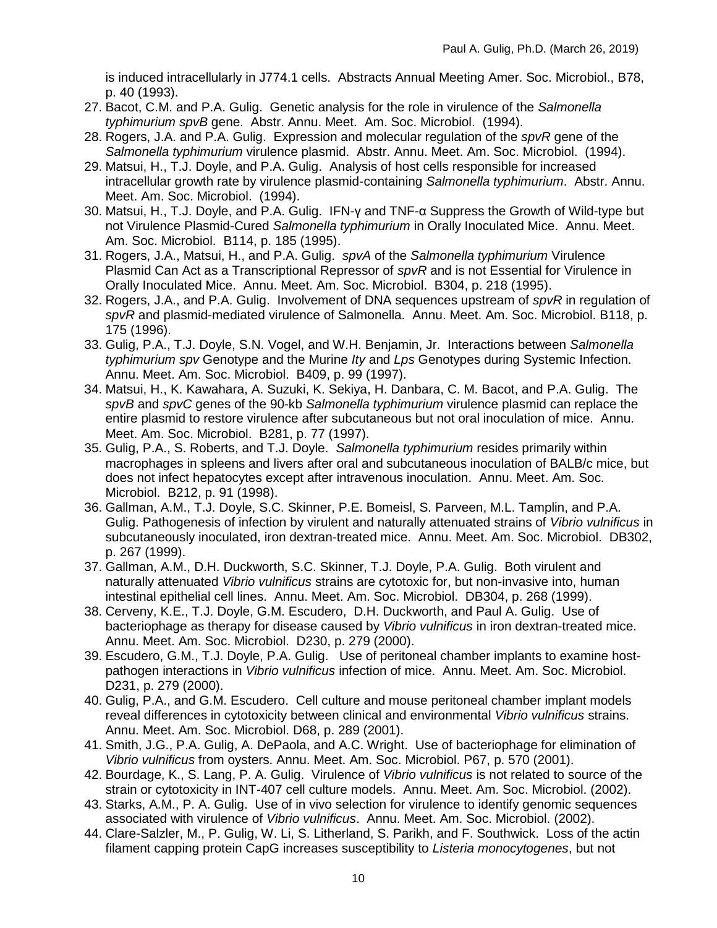is induced intracellularly in J774.1 cells. Abstracts Annual Meeting Amer. Soc. Microbiol., B78, p. 40 (1993).

- 27. Bacot, C.M. and P.A. Gulig. Genetic analysis for the role in virulence of the *Salmonella typhimurium spvB* gene. Abstr. Annu. Meet. Am. Soc. Microbiol. (1994).
- 28. Rogers, J.A. and P.A. Gulig. Expression and molecular regulation of the *spvR* gene of the *Salmonella typhimurium* virulence plasmid. Abstr. Annu. Meet. Am. Soc. Microbiol. (1994).
- 29. Matsui, H., T.J. Doyle, and P.A. Gulig. Analysis of host cells responsible for increased intracellular growth rate by virulence plasmid-containing *Salmonella typhimurium*. Abstr. Annu. Meet. Am. Soc. Microbiol. (1994).
- 30. Matsui, H., T.J. Doyle, and P.A. Gulig. IFN-γ and TNF-α Suppress the Growth of Wild-type but not Virulence Plasmid-Cured *Salmonella typhimurium* in Orally Inoculated Mice. Annu. Meet. Am. Soc. Microbiol. B114, p. 185 (1995).
- 31. Rogers, J.A., Matsui, H., and P.A. Gulig. *spvA* of the *Salmonella typhimurium* Virulence Plasmid Can Act as a Transcriptional Repressor of *spvR* and is not Essential for Virulence in Orally Inoculated Mice. Annu. Meet. Am. Soc. Microbiol. B304, p. 218 (1995).
- 32. Rogers, J.A., and P.A. Gulig. Involvement of DNA sequences upstream of *spvR* in regulation of *spvR* and plasmid-mediated virulence of Salmonella. Annu. Meet. Am. Soc. Microbiol. B118, p. 175 (1996).
- 33. Gulig, P.A., T.J. Doyle, S.N. Vogel, and W.H. Benjamin, Jr. Interactions between *Salmonella typhimurium spv* Genotype and the Murine *Ity* and *Lps* Genotypes during Systemic Infection. Annu. Meet. Am. Soc. Microbiol. B409, p. 99 (1997).
- 34. Matsui, H., K. Kawahara, A. Suzuki, K. Sekiya, H. Danbara, C. M. Bacot, and P.A. Gulig. The *spvB* and *spvC* genes of the 90-kb *Salmonella typhimurium* virulence plasmid can replace the entire plasmid to restore virulence after subcutaneous but not oral inoculation of mice. Annu. Meet. Am. Soc. Microbiol. B281, p. 77 (1997).
- 35. Gulig, P.A., S. Roberts, and T.J. Doyle. *Salmonella typhimurium* resides primarily within macrophages in spleens and livers after oral and subcutaneous inoculation of BALB/c mice, but does not infect hepatocytes except after intravenous inoculation. Annu. Meet. Am. Soc. Microbiol. B212, p. 91 (1998).
- 36. Gallman, A.M., T.J. Doyle, S.C. Skinner, P.E. Bomeisl, S. Parveen, M.L. Tamplin, and P.A. Gulig. Pathogenesis of infection by virulent and naturally attenuated strains of *Vibrio vulnificus* in subcutaneously inoculated, iron dextran-treated mice. Annu. Meet. Am. Soc. Microbiol. DB302, p. 267 (1999).
- 37. Gallman, A.M., D.H. Duckworth, S.C. Skinner, T.J. Doyle, P.A. Gulig. Both virulent and naturally attenuated *Vibrio vulnificus* strains are cytotoxic for, but non-invasive into, human intestinal epithelial cell lines. Annu. Meet. Am. Soc. Microbiol. DB304, p. 268 (1999).
- 38. Cerveny, K.E., T.J. Doyle, G.M. Escudero, D.H. Duckworth, and Paul A. Gulig. Use of bacteriophage as therapy for disease caused by *Vibrio vulnificus* in iron dextran-treated mice. Annu. Meet. Am. Soc. Microbiol. D230, p. 279 (2000).
- 39. Escudero, G.M., T.J. Doyle, P.A. Gulig. Use of peritoneal chamber implants to examine hostpathogen interactions in *Vibrio vulnificus* infection of mice. Annu. Meet. Am. Soc. Microbiol. D231, p. 279 (2000).
- 40. Gulig, P.A., and G.M. Escudero. Cell culture and mouse peritoneal chamber implant models reveal differences in cytotoxicity between clinical and environmental *Vibrio vulnificus* strains. Annu. Meet. Am. Soc. Microbiol. D68, p. 289 (2001).
- 41. Smith, J.G., P.A. Gulig, A. DePaola, and A.C. Wright. Use of bacteriophage for elimination of *Vibrio vulnificus* from oysters. Annu. Meet. Am. Soc. Microbiol. P67, p. 570 (2001).
- 42. Bourdage, K., S. Lang, P. A. Gulig. Virulence of *Vibrio vulnificus* is not related to source of the strain or cytotoxicity in INT-407 cell culture models. Annu. Meet. Am. Soc. Microbiol. (2002).
- 43. Starks, A.M., P. A. Gulig. Use of in vivo selection for virulence to identify genomic sequences associated with virulence of *Vibrio vulnificus*. Annu. Meet. Am. Soc. Microbiol. (2002).
- 44. Clare-Salzler, M., P. Gulig, W. Li, S. Litherland, S. Parikh, and F. Southwick. Loss of the actin filament capping protein CapG increases susceptibility to *Listeria monocytogenes*, but not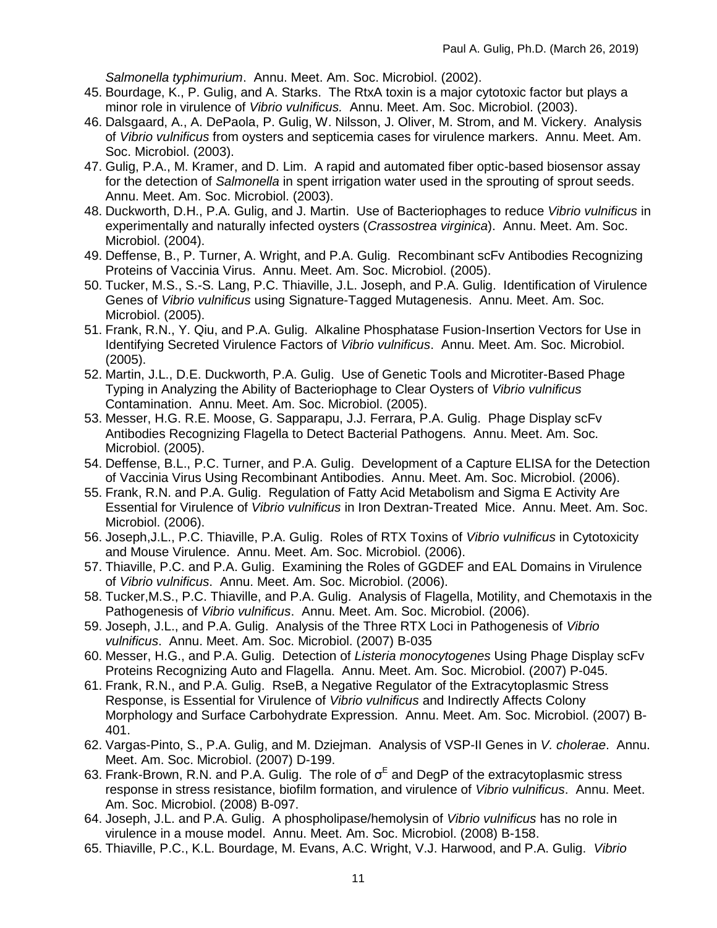*Salmonella typhimurium*. Annu. Meet. Am. Soc. Microbiol. (2002).

- 45. Bourdage, K., P. Gulig, and A. Starks. The RtxA toxin is a major cytotoxic factor but plays a minor role in virulence of *Vibrio vulnificus.* Annu. Meet. Am. Soc. Microbiol. (2003).
- 46. Dalsgaard, A., A. DePaola, P. Gulig, W. Nilsson, J. Oliver, M. Strom, and M. Vickery. Analysis of *Vibrio vulnificus* from oysters and septicemia cases for virulence markers. Annu. Meet. Am. Soc. Microbiol. (2003).
- 47. Gulig, P.A., M. Kramer, and D. Lim. A rapid and automated fiber optic-based biosensor assay for the detection of *Salmonella* in spent irrigation water used in the sprouting of sprout seeds. Annu. Meet. Am. Soc. Microbiol. (2003).
- 48. Duckworth, D.H., P.A. Gulig, and J. Martin. Use of Bacteriophages to reduce *Vibrio vulnificus* in experimentally and naturally infected oysters (*Crassostrea virginica*). Annu. Meet. Am. Soc. Microbiol. (2004).
- 49. Deffense, B., P. Turner, A. Wright, and P.A. Gulig. Recombinant scFv Antibodies Recognizing Proteins of Vaccinia Virus. Annu. Meet. Am. Soc. Microbiol. (2005).
- 50. Tucker, M.S., S.-S. Lang, P.C. Thiaville, J.L. Joseph, and P.A. Gulig. Identification of Virulence Genes of *Vibrio vulnificus* using Signature-Tagged Mutagenesis. Annu. Meet. Am. Soc. Microbiol. (2005).
- 51. Frank, R.N., Y. Qiu, and P.A. Gulig. Alkaline Phosphatase Fusion-Insertion Vectors for Use in Identifying Secreted Virulence Factors of *Vibrio vulnificus*. Annu. Meet. Am. Soc. Microbiol. (2005).
- 52. Martin, J.L., D.E. Duckworth, P.A. Gulig. Use of Genetic Tools and Microtiter-Based Phage Typing in Analyzing the Ability of Bacteriophage to Clear Oysters of *Vibrio vulnificus* Contamination. Annu. Meet. Am. Soc. Microbiol. (2005).
- 53. Messer, H.G. R.E. Moose, G. Sapparapu, J.J. Ferrara, P.A. Gulig. Phage Display scFv Antibodies Recognizing Flagella to Detect Bacterial Pathogens. Annu. Meet. Am. Soc. Microbiol. (2005).
- 54. Deffense, B.L., P.C. Turner, and P.A. Gulig. Development of a Capture ELISA for the Detection of Vaccinia Virus Using Recombinant Antibodies. Annu. Meet. Am. Soc. Microbiol. (2006).
- 55. Frank, R.N. and P.A. Gulig. Regulation of Fatty Acid Metabolism and Sigma E Activity Are Essential for Virulence of *Vibrio vulnificus* in Iron Dextran-Treated Mice. Annu. Meet. Am. Soc. Microbiol. (2006).
- 56. Joseph,J.L., P.C. Thiaville, P.A. Gulig. Roles of RTX Toxins of *Vibrio vulnificus* in Cytotoxicity and Mouse Virulence. Annu. Meet. Am. Soc. Microbiol. (2006).
- 57. Thiaville, P.C. and P.A. Gulig. Examining the Roles of GGDEF and EAL Domains in Virulence of *Vibrio vulnificus*. Annu. Meet. Am. Soc. Microbiol. (2006).
- 58. Tucker,M.S., P.C. Thiaville, and P.A. Gulig. Analysis of Flagella, Motility, and Chemotaxis in the Pathogenesis of *Vibrio vulnificus*. Annu. Meet. Am. Soc. Microbiol. (2006).
- 59. Joseph, J.L., and P.A. Gulig. Analysis of the Three RTX Loci in Pathogenesis of *Vibrio vulnificus*. Annu. Meet. Am. Soc. Microbiol. (2007) B-035
- 60. Messer, H.G., and P.A. Gulig. Detection of *Listeria monocytogenes* Using Phage Display scFv Proteins Recognizing Auto and Flagella. Annu. Meet. Am. Soc. Microbiol. (2007) P-045.
- 61. Frank, R.N., and P.A. Gulig. RseB, a Negative Regulator of the Extracytoplasmic Stress Response, is Essential for Virulence of *Vibrio vulnificus* and Indirectly Affects Colony Morphology and Surface Carbohydrate Expression. Annu. Meet. Am. Soc. Microbiol. (2007) B-401.
- 62. Vargas-Pinto, S., P.A. Gulig, and M. Dziejman. Analysis of VSP-II Genes in *V. cholerae*. Annu. Meet. Am. Soc. Microbiol. (2007) D-199.
- 63. Frank-Brown, R.N. and P.A. Gulig. The role of  $\sigma^E$  and DegP of the extracytoplasmic stress response in stress resistance, biofilm formation, and virulence of *Vibrio vulnificus*. Annu. Meet. Am. Soc. Microbiol. (2008) B-097.
- 64. Joseph, J.L. and P.A. Gulig. A phospholipase/hemolysin of *Vibrio vulnificus* has no role in virulence in a mouse model. Annu. Meet. Am. Soc. Microbiol. (2008) B-158.
- 65. Thiaville, P.C., K.L. Bourdage, M. Evans, A.C. Wright, V.J. Harwood, and P.A. Gulig. *Vibrio*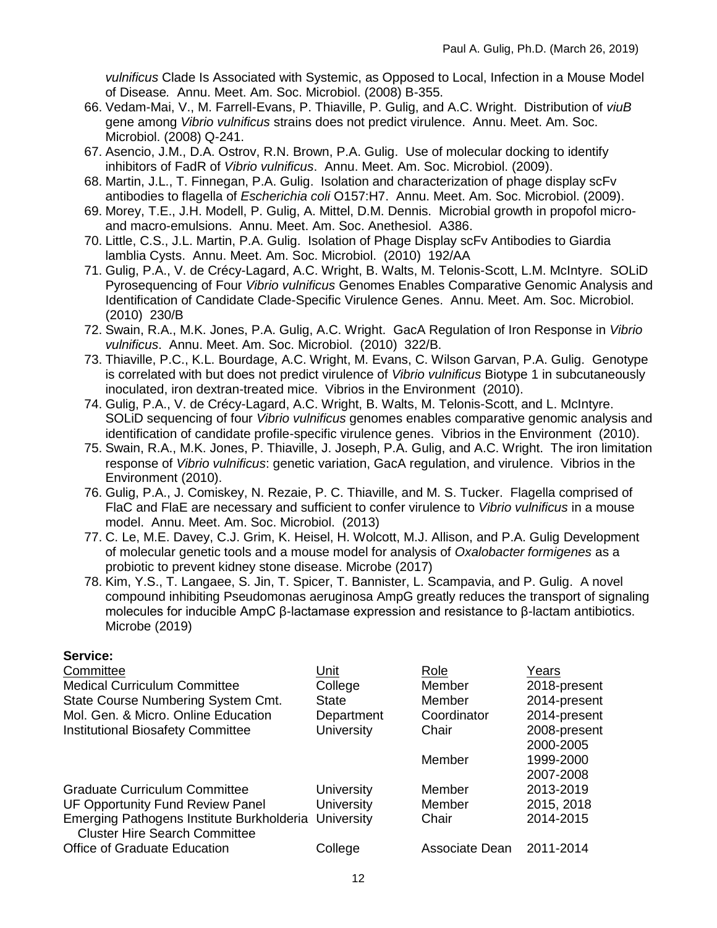*vulnificus* Clade Is Associated with Systemic, as Opposed to Local, Infection in a Mouse Model of Disease*.* Annu. Meet. Am. Soc. Microbiol. (2008) B-355.

- 66. Vedam-Mai, V., M. Farrell-Evans, P. Thiaville, P. Gulig, and A.C. Wright. Distribution of *viuB* gene among *Vibrio vulnificus* strains does not predict virulence. Annu. Meet. Am. Soc. Microbiol. (2008) Q-241.
- 67. Asencio, J.M., D.A. Ostrov, R.N. Brown, P.A. Gulig. Use of molecular docking to identify inhibitors of FadR of *Vibrio vulnificus*. Annu. Meet. Am. Soc. Microbiol. (2009).
- 68. Martin, J.L., T. Finnegan, P.A. Gulig. Isolation and characterization of phage display scFv antibodies to flagella of *Escherichia coli* O157:H7. Annu. Meet. Am. Soc. Microbiol. (2009).
- 69. Morey, T.E., J.H. Modell, P. Gulig, A. Mittel, D.M. Dennis. Microbial growth in propofol microand macro-emulsions. Annu. Meet. Am. Soc. Anethesiol. A386.
- 70. Little, C.S., J.L. Martin, P.A. Gulig. Isolation of Phage Display scFv Antibodies to Giardia lamblia Cysts. Annu. Meet. Am. Soc. Microbiol. (2010) 192/AA
- 71. Gulig, P.A., V. de Crécy-Lagard, A.C. Wright, B. Walts, M. Telonis-Scott, L.M. McIntyre. SOLiD Pyrosequencing of Four *Vibrio vulnificus* Genomes Enables Comparative Genomic Analysis and Identification of Candidate Clade-Specific Virulence Genes. Annu. Meet. Am. Soc. Microbiol. (2010) 230/B
- 72. Swain, R.A., M.K. Jones, P.A. Gulig, A.C. Wright. GacA Regulation of Iron Response in *Vibrio vulnificus*. Annu. Meet. Am. Soc. Microbiol. (2010) 322/B.
- 73. Thiaville, P.C., K.L. Bourdage, A.C. Wright, M. Evans, C. Wilson Garvan, P.A. Gulig. Genotype is correlated with but does not predict virulence of *Vibrio vulnificus* Biotype 1 in subcutaneously inoculated, iron dextran-treated mice. Vibrios in the Environment (2010).
- 74. Gulig, P.A., V. de Crécy-Lagard, A.C. Wright, B. Walts, M. Telonis-Scott, and L. McIntyre. SOLiD sequencing of four *Vibrio vulnificus* genomes enables comparative genomic analysis and identification of candidate profile-specific virulence genes. Vibrios in the Environment (2010).
- 75. Swain, R.A., M.K. Jones, P. Thiaville, J. Joseph, P.A. Gulig, and A.C. Wright. The iron limitation response of *Vibrio vulnificus*: genetic variation, GacA regulation, and virulence. Vibrios in the Environment (2010).
- 76. Gulig, P.A., J. Comiskey, N. Rezaie, P. C. Thiaville, and M. S. Tucker. Flagella comprised of FlaC and FlaE are necessary and sufficient to confer virulence to *Vibrio vulnificus* in a mouse model. Annu. Meet. Am. Soc. Microbiol. (2013)
- 77. C. Le, M.E. Davey, C.J. Grim, K. Heisel, H. Wolcott, M.J. Allison, and P.A. Gulig Development of molecular genetic tools and a mouse model for analysis of *Oxalobacter formigenes* as a probiotic to prevent kidney stone disease. Microbe (2017)
- 78. Kim, Y.S., T. Langaee, S. Jin, T. Spicer, T. Bannister, L. Scampavia, and P. Gulig. A novel compound inhibiting Pseudomonas aeruginosa AmpG greatly reduces the transport of signaling molecules for inducible AmpC β-lactamase expression and resistance to β-lactam antibiotics. Microbe (2019)

| Service:                                                                          |                   |                |              |
|-----------------------------------------------------------------------------------|-------------------|----------------|--------------|
| Committee                                                                         | Unit              | Role           | Years        |
| <b>Medical Curriculum Committee</b>                                               | College           | Member         | 2018-present |
| State Course Numbering System Cmt.                                                | <b>State</b>      | Member         | 2014-present |
| Mol. Gen. & Micro. Online Education                                               | Department        | Coordinator    | 2014-present |
| <b>Institutional Biosafety Committee</b>                                          | <b>University</b> | Chair          | 2008-present |
|                                                                                   |                   |                | 2000-2005    |
|                                                                                   |                   | Member         | 1999-2000    |
|                                                                                   |                   |                | 2007-2008    |
| <b>Graduate Curriculum Committee</b>                                              | University        | Member         | 2013-2019    |
| UF Opportunity Fund Review Panel                                                  | <b>University</b> | Member         | 2015, 2018   |
| Emerging Pathogens Institute Burkholderia<br><b>Cluster Hire Search Committee</b> | University        | Chair          | 2014-2015    |
| Office of Graduate Education                                                      | College           | Associate Dean | 2011-2014    |
|                                                                                   |                   |                |              |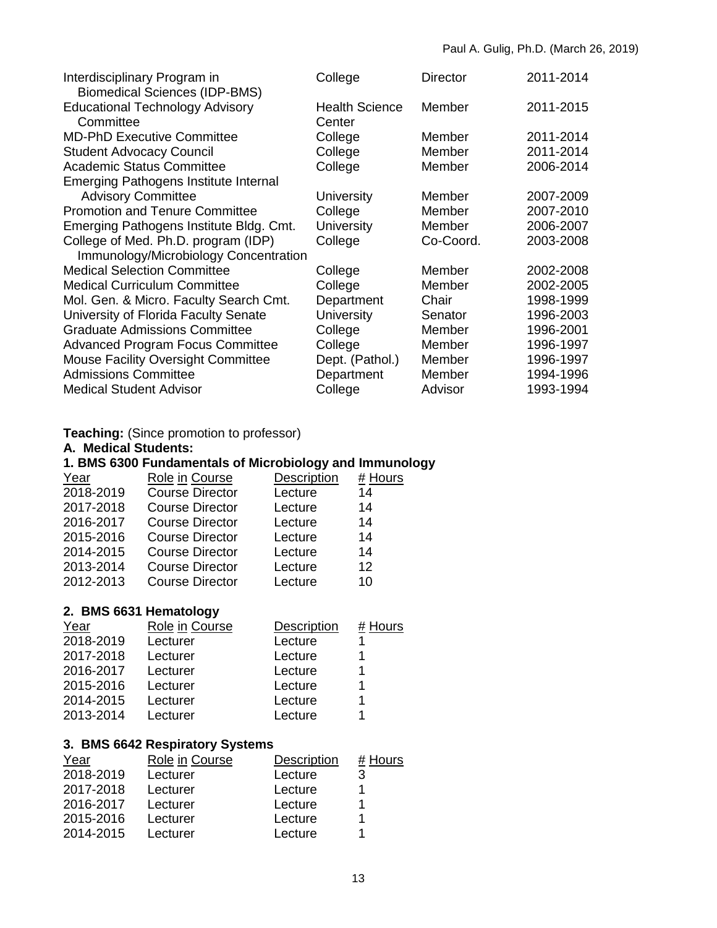| Interdisciplinary Program in<br><b>Biomedical Sciences (IDP-BMS)</b> | College                         | <b>Director</b> | 2011-2014 |
|----------------------------------------------------------------------|---------------------------------|-----------------|-----------|
| <b>Educational Technology Advisory</b><br>Committee                  | <b>Health Science</b><br>Center | Member          | 2011-2015 |
| <b>MD-PhD Executive Committee</b>                                    | College                         | Member          | 2011-2014 |
| <b>Student Advocacy Council</b>                                      | College                         | Member          | 2011-2014 |
| <b>Academic Status Committee</b>                                     | College                         | Member          | 2006-2014 |
| <b>Emerging Pathogens Institute Internal</b>                         |                                 |                 |           |
| <b>Advisory Committee</b>                                            | <b>University</b>               | Member          | 2007-2009 |
| <b>Promotion and Tenure Committee</b>                                | College                         | Member          | 2007-2010 |
| Emerging Pathogens Institute Bldg. Cmt.                              | <b>University</b>               | Member          | 2006-2007 |
| College of Med. Ph.D. program (IDP)                                  | College                         | Co-Coord.       | 2003-2008 |
| Immunology/Microbiology Concentration                                |                                 |                 |           |
| <b>Medical Selection Committee</b>                                   | College                         | Member          | 2002-2008 |
| <b>Medical Curriculum Committee</b>                                  | College                         | Member          | 2002-2005 |
| Mol. Gen. & Micro. Faculty Search Cmt.                               | Department                      | Chair           | 1998-1999 |
| University of Florida Faculty Senate                                 | <b>University</b>               | Senator         | 1996-2003 |
| <b>Graduate Admissions Committee</b>                                 | College                         | Member          | 1996-2001 |
| <b>Advanced Program Focus Committee</b>                              | College                         | Member          | 1996-1997 |
| <b>Mouse Facility Oversight Committee</b>                            | Dept. (Pathol.)                 | Member          | 1996-1997 |
| <b>Admissions Committee</b>                                          | Department                      | Member          | 1994-1996 |
| <b>Medical Student Advisor</b>                                       | College                         | Advisor         | 1993-1994 |

**Teaching:** (Since promotion to professor)

### **A. Medical Students:**

# **1. BMS 6300 Fundamentals of Microbiology and Immunology**

| Year      | Role in Course         | Description | # Hours |
|-----------|------------------------|-------------|---------|
| 2018-2019 | <b>Course Director</b> | Lecture     | 14      |
| 2017-2018 | <b>Course Director</b> | Lecture     | 14      |
| 2016-2017 | <b>Course Director</b> | Lecture     | 14      |
| 2015-2016 | <b>Course Director</b> | Lecture     | 14      |
| 2014-2015 | <b>Course Director</b> | Lecture     | 14      |
| 2013-2014 | <b>Course Director</b> | Lecture     | 12      |
| 2012-2013 | <b>Course Director</b> | Lecture     | 10      |

#### **2. BMS 6631 Hematology**

| Year      | Role in Course | <b>Description</b> | # Hours |
|-----------|----------------|--------------------|---------|
| 2018-2019 | Lecturer       | Lecture            |         |
| 2017-2018 | Lecturer       | Lecture            |         |
| 2016-2017 | Lecturer       | Lecture            |         |
| 2015-2016 | Lecturer       | Lecture            |         |
| 2014-2015 | Lecturer       | Lecture            |         |
| 2013-2014 | Lecturer       | Lecture            |         |

### **3. BMS 6642 Respiratory Systems**

| Year      | Role in Course | <b>Description</b> | # Hours |
|-----------|----------------|--------------------|---------|
| 2018-2019 | Lecturer       | Lecture            | 3       |
| 2017-2018 | Lecturer       | Lecture            |         |
| 2016-2017 | Lecturer       | Lecture            |         |
| 2015-2016 | Lecturer       | Lecture            |         |
| 2014-2015 | Lecturer       | Lecture            |         |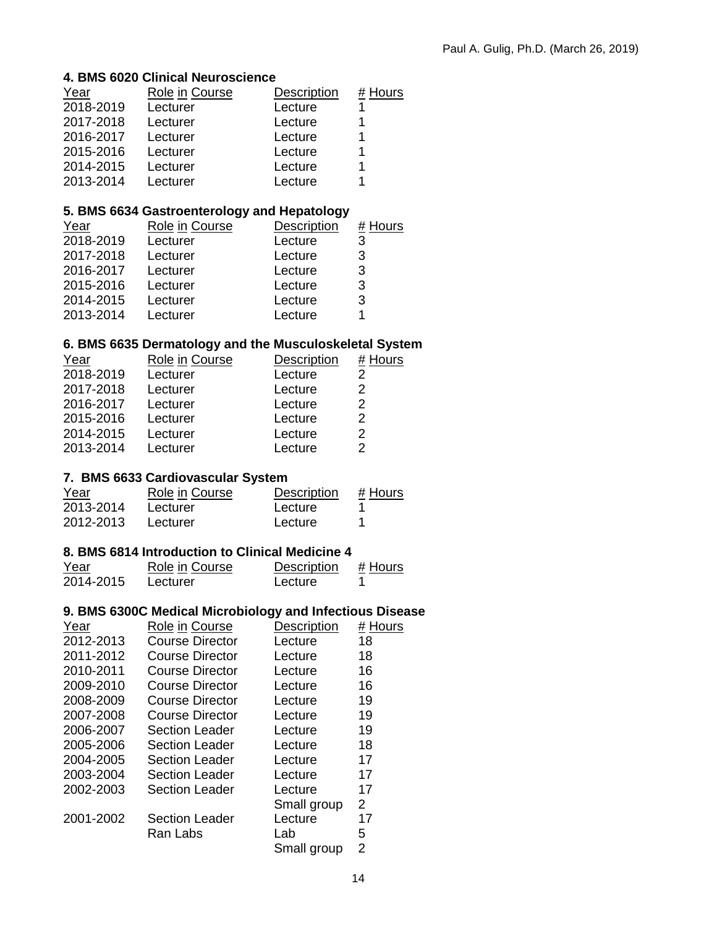#### **4. BMS 6020 Clinical Neuroscience**

| Year      | Role in Course | Description | # Hours |
|-----------|----------------|-------------|---------|
| 2018-2019 | Lecturer       | Lecture     |         |
| 2017-2018 | Lecturer       | Lecture     |         |
| 2016-2017 | Lecturer       | Lecture     |         |
| 2015-2016 | Lecturer       | Lecture     |         |
| 2014-2015 | Lecturer       | Lecture     |         |
| 2013-2014 | Lecturer       | Lecture     |         |

### **5. BMS 6634 Gastroenterology and Hepatology**

| Year      | Role in Course | Description | # Hours |
|-----------|----------------|-------------|---------|
| 2018-2019 | Lecturer       | Lecture     | 3       |
| 2017-2018 | Lecturer       | Lecture     | 3       |
| 2016-2017 | Lecturer       | Lecture     | 3       |
| 2015-2016 | Lecturer       | Lecture     | 3       |
| 2014-2015 | Lecturer       | Lecture     | 3       |
| 2013-2014 | Lecturer       | Lecture     |         |

#### **6. BMS 6635 Dermatology and the Musculoskeletal System**

| Year      | Role in Course | <b>Description</b> | # Hours |
|-----------|----------------|--------------------|---------|
| 2018-2019 | Lecturer       | Lecture            | 2       |
| 2017-2018 | Lecturer       | Lecture            | 2       |
| 2016-2017 | Lecturer       | Lecture            | 2       |
| 2015-2016 | Lecturer       | Lecture            | 2       |
| 2014-2015 | Lecturer       | Lecture            | 2       |
| 2013-2014 | Lecturer       | Lecture            |         |

#### **7. BMS 6633 Cardiovascular System**

| Year      | Role in Course | Description | # Hours |
|-----------|----------------|-------------|---------|
| 2013-2014 | Lecturer       | Lecture     |         |
| 2012-2013 | Lecturer       | Lecture     |         |

### **8. BMS 6814 Introduction to Clinical Medicine 4**

| Year      | Role in Course | <b>Description</b> | # Hours |
|-----------|----------------|--------------------|---------|
| 2014-2015 | Lecturer       | Lecture            |         |

#### **9. BMS 6300C Medical Microbiology and Infectious Disease**

| Year      | Role in Course         | <b>Description</b> | # Hours |
|-----------|------------------------|--------------------|---------|
| 2012-2013 | <b>Course Director</b> | Lecture            | 18      |
| 2011-2012 | <b>Course Director</b> | Lecture            | 18      |
| 2010-2011 | <b>Course Director</b> | Lecture            | 16      |
| 2009-2010 | <b>Course Director</b> | Lecture            | 16      |
| 2008-2009 | <b>Course Director</b> | Lecture            | 19      |
| 2007-2008 | <b>Course Director</b> | Lecture            | 19      |
| 2006-2007 | <b>Section Leader</b>  | Lecture            | 19      |
| 2005-2006 | Section Leader         | Lecture            | 18      |
| 2004-2005 | <b>Section Leader</b>  | Lecture            | 17      |
| 2003-2004 | <b>Section Leader</b>  | Lecture            | 17      |
| 2002-2003 | <b>Section Leader</b>  | Lecture            | 17      |
|           |                        | Small group        | 2       |
| 2001-2002 | <b>Section Leader</b>  | Lecture            | 17      |
|           | Ran Labs               | Lab                | 5       |
|           |                        | Small group        | 2       |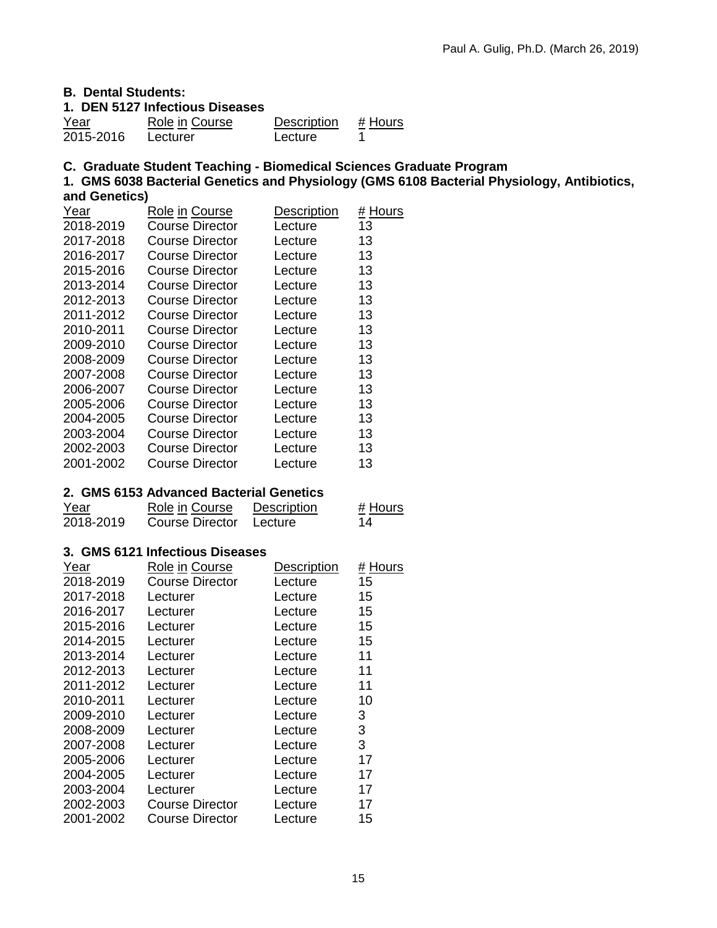### **B. Dental Students:**

#### **1. DEN 5127 Infectious Diseases**

| Year      | Role in Course | <b>Description</b> | $#$ Hours |
|-----------|----------------|--------------------|-----------|
| 2015-2016 | Lecturer       | Lecture            |           |

### **C. Graduate Student Teaching - Biomedical Sciences Graduate Program**

**1. GMS 6038 Bacterial Genetics and Physiology (GMS 6108 Bacterial Physiology, Antibiotics,** 

### **and Genetics)**

| Year      | Role in Course         | Description | # Hours |
|-----------|------------------------|-------------|---------|
| 2018-2019 | Course Director        | Lecture     | 13      |
| 2017-2018 | Course Director        | Lecture     | 13      |
| 2016-2017 | Course Director        | Lecture     | 13      |
| 2015-2016 | <b>Course Director</b> | Lecture     | 13      |
| 2013-2014 | Course Director        | Lecture     | 13      |
| 2012-2013 | Course Director        | Lecture     | 13      |
| 2011-2012 | Course Director        | Lecture     | 13      |
| 2010-2011 | Course Director        | Lecture     | 13      |
| 2009-2010 | <b>Course Director</b> | Lecture     | 13      |
| 2008-2009 | <b>Course Director</b> | Lecture     | 13      |
| 2007-2008 | Course Director        | Lecture     | 13      |
| 2006-2007 | Course Director        | Lecture     | 13      |
| 2005-2006 | Course Director        | Lecture     | 13      |
| 2004-2005 | Course Director        | Lecture     | 13      |
| 2003-2004 | <b>Course Director</b> | Lecture     | 13      |
| 2002-2003 | Course Director        | Lecture     | 13      |
| 2001-2002 | <b>Course Director</b> | Lecture     | 13      |

#### **2. GMS 6153 Advanced Bacterial Genetics**

| Year      | Role in Course          | Description | # Hours |
|-----------|-------------------------|-------------|---------|
| 2018-2019 | Course Director Lecture |             | 14      |

#### **3. GMS 6121 Infectious Diseases**

| Role in Course         | Description | # Hours |
|------------------------|-------------|---------|
| <b>Course Director</b> | Lecture     | 15      |
| Lecturer               | Lecture     | 15      |
| Lecturer               | Lecture     | 15      |
| Lecturer               | Lecture     | 15      |
| Lecturer               | Lecture     | 15      |
| Lecturer               | Lecture     | 11      |
| Lecturer               | Lecture     | 11      |
| Lecturer               | Lecture     | 11      |
| Lecturer               | Lecture     | 10      |
| Lecturer               | Lecture     | 3       |
| Lecturer               | Lecture     | 3       |
| Lecturer               | Lecture     | 3       |
| Lecturer               | Lecture     | 17      |
| Lecturer               | Lecture     | 17      |
| Lecturer               | Lecture     | 17      |
| <b>Course Director</b> | Lecture     | 17      |
| <b>Course Director</b> | Lecture     | 15      |
|                        |             |         |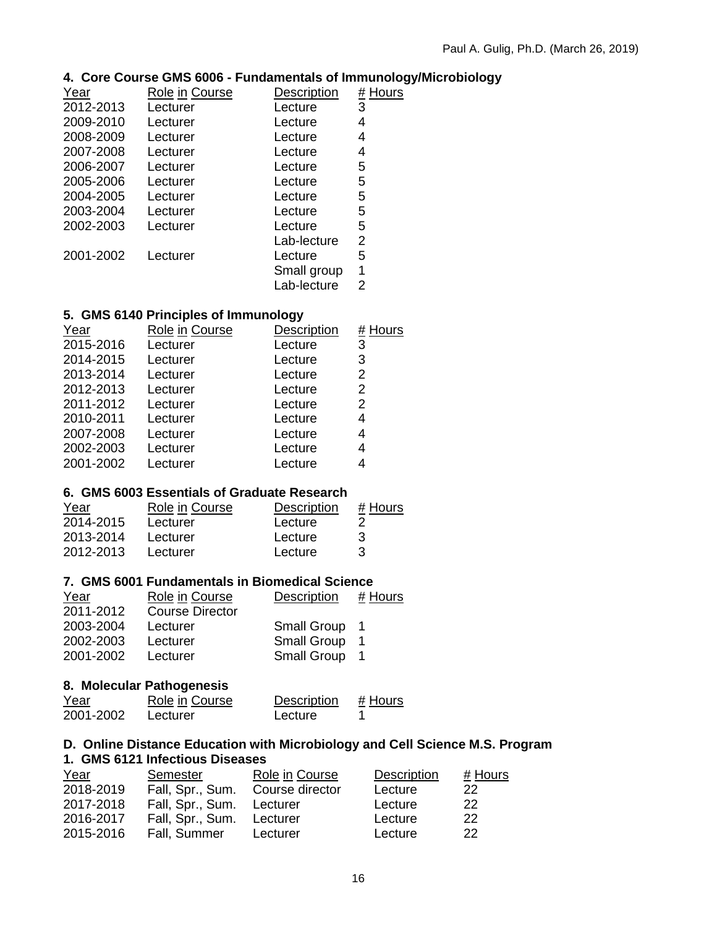### **4. Core Course GMS 6006 - Fundamentals of Immunology/Microbiology**

| Year      | Role in Course | Description | # Hours |
|-----------|----------------|-------------|---------|
| 2012-2013 | Lecturer       | Lecture     | 3       |
| 2009-2010 | Lecturer       | Lecture     | 4       |
| 2008-2009 | Lecturer       | Lecture     | 4       |
| 2007-2008 | Lecturer       | Lecture     | 4       |
| 2006-2007 | Lecturer       | Lecture     | 5       |
| 2005-2006 | Lecturer       | Lecture     | 5       |
| 2004-2005 | Lecturer       | Lecture     | 5       |
| 2003-2004 | Lecturer       | Lecture     | 5       |
| 2002-2003 | Lecturer       | Lecture     | 5       |
|           |                | Lab-lecture | 2       |
| 2001-2002 | Lecturer       | Lecture     | 5       |
|           |                | Small group | 1       |
|           |                | Lab-lecture | 2       |

### **5. GMS 6140 Principles of Immunology**

| Year      | Role in Course | Description | # Hours |
|-----------|----------------|-------------|---------|
| 2015-2016 | Lecturer       | Lecture     | 3       |
| 2014-2015 | Lecturer       | Lecture     | 3       |
| 2013-2014 | Lecturer       | Lecture     | 2       |
| 2012-2013 | Lecturer       | Lecture     | 2       |
| 2011-2012 | Lecturer       | Lecture     | 2       |
| 2010-2011 | Lecturer       | Lecture     | 4       |
| 2007-2008 | Lecturer       | Lecture     | 4       |
| 2002-2003 | Lecturer       | Lecture     | 4       |
| 2001-2002 | Lecturer       | Lecture     | 4       |

#### **6. GMS 6003 Essentials of Graduate Research**

| Year      | Role in Course | Description | # Hours |
|-----------|----------------|-------------|---------|
| 2014-2015 | Lecturer       | Lecture     |         |
| 2013-2014 | Lecturer       | Lecture     | 3       |
| 2012-2013 | Lecturer       | Lecture     | 3       |

### **7. GMS 6001 Fundamentals in Biomedical Science**

| Year      | Role in Course  | <b>Description</b> | # Hours          |
|-----------|-----------------|--------------------|------------------|
| 2011-2012 | Course Director |                    |                  |
| 2003-2004 | Lecturer        | <b>Small Group</b> | $\blacksquare$ 1 |
| 2002-2003 | Lecturer        | <b>Small Group</b> |                  |
| 2001-2002 | Lecturer        | <b>Small Group</b> |                  |

#### **8. Molecular Pathogenesis**

| Year      | Role in Course | Description | # Hours |
|-----------|----------------|-------------|---------|
| 2001-2002 | Lecturer       | Lecture     |         |

### **D. Online Distance Education with Microbiology and Cell Science M.S. Program 1. GMS 6121 Infectious Diseases**

| Year      | Semester         | Role in Course  | <b>Description</b> | # Hours |
|-----------|------------------|-----------------|--------------------|---------|
| 2018-2019 | Fall, Spr., Sum. | Course director | Lecture            | 22      |
| 2017-2018 | Fall, Spr., Sum. | Lecturer        | Lecture            | 22      |
| 2016-2017 | Fall, Spr., Sum. | Lecturer        | Lecture            | 22      |
| 2015-2016 | Fall, Summer     | Lecturer        | Lecture            | 22      |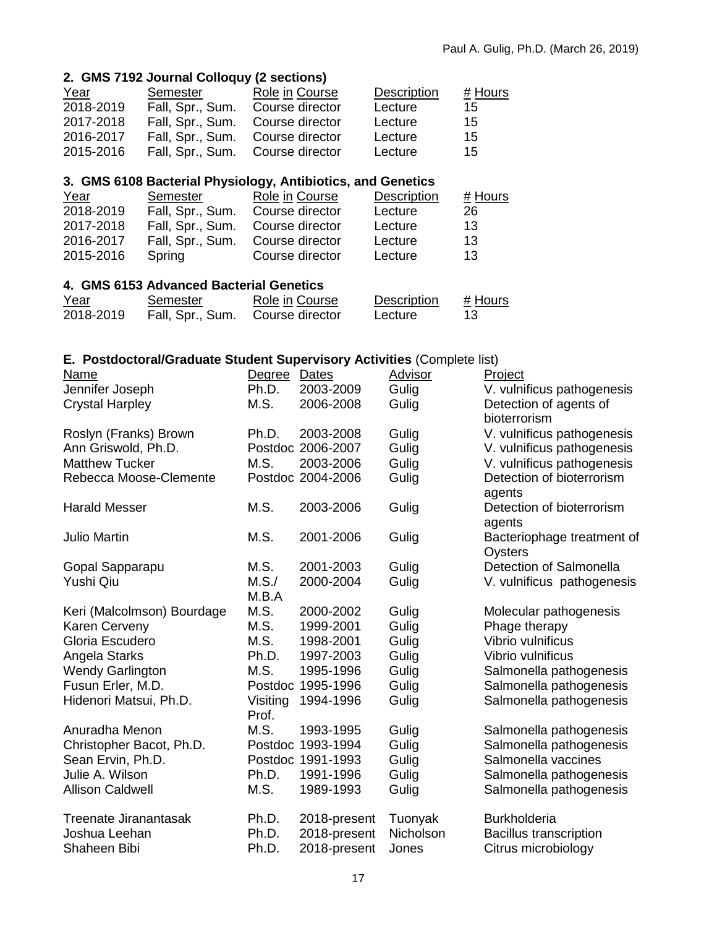### **2. GMS 7192 Journal Colloquy (2 sections)**

| Year      | Semester         | Role in Course  | Description | # Hours |
|-----------|------------------|-----------------|-------------|---------|
| 2018-2019 | Fall, Spr., Sum. | Course director | Lecture     | 15.     |
| 2017-2018 | Fall, Spr., Sum. | Course director | Lecture     | 15      |
| 2016-2017 | Fall, Spr., Sum. | Course director | Lecture     | 15      |
| 2015-2016 | Fall, Spr., Sum. | Course director | Lecture     | 15      |

### **3. GMS 6108 Bacterial Physiology, Antibiotics, and Genetics**

| Year      | Semester         | Role in Course  | Description | $#$ Hours |
|-----------|------------------|-----------------|-------------|-----------|
| 2018-2019 | Fall, Spr., Sum. | Course director | Lecture     | 26        |
| 2017-2018 | Fall, Spr., Sum. | Course director | Lecture     | 13        |
| 2016-2017 | Fall, Spr., Sum. | Course director | Lecture     | 13        |
| 2015-2016 | Spring           | Course director | Lecture     | 13        |

### **4. GMS 6153 Advanced Bacterial Genetics**

| Year      | Semester         | Role in Course  | Description | # Hours |
|-----------|------------------|-----------------|-------------|---------|
| 2018-2019 | Fall, Spr., Sum. | Course director | Lecture     |         |

### **E. Postdoctoral/Graduate Student Supervisory Activities** (Complete list)

| Name                       | Degree   | Dates             | Advisor   | Project                       |
|----------------------------|----------|-------------------|-----------|-------------------------------|
| Jennifer Joseph            | Ph.D.    | 2003-2009         | Gulig     | V. vulnificus pathogenesis    |
| <b>Crystal Harpley</b>     | M.S.     | 2006-2008         | Gulig     | Detection of agents of        |
|                            |          |                   |           | bioterrorism                  |
| Roslyn (Franks) Brown      | Ph.D.    | 2003-2008         | Gulig     | V. vulnificus pathogenesis    |
| Ann Griswold, Ph.D.        |          | Postdoc 2006-2007 | Gulig     | V. vulnificus pathogenesis    |
| <b>Matthew Tucker</b>      | M.S.     | 2003-2006         | Gulig     | V. vulnificus pathogenesis    |
| Rebecca Moose-Clemente     |          | Postdoc 2004-2006 | Gulig     | Detection of bioterrorism     |
|                            |          |                   |           | agents                        |
| <b>Harald Messer</b>       | M.S.     | 2003-2006         | Gulig     | Detection of bioterrorism     |
|                            |          |                   |           | agents                        |
| <b>Julio Martin</b>        | M.S.     | 2001-2006         | Gulig     | Bacteriophage treatment of    |
|                            |          |                   |           | Oysters                       |
| Gopal Sapparapu            | M.S.     | 2001-2003         | Gulig     | Detection of Salmonella       |
| Yushi Qiu                  | M.S./    | 2000-2004         | Gulig     | V. vulnificus pathogenesis    |
|                            | M.B.A    |                   |           |                               |
| Keri (Malcolmson) Bourdage | M.S.     | 2000-2002         | Gulig     | Molecular pathogenesis        |
| Karen Cerveny              | M.S.     | 1999-2001         | Gulig     | Phage therapy                 |
| Gloria Escudero            | M.S.     | 1998-2001         | Gulig     | Vibrio vulnificus             |
| Angela Starks              | Ph.D.    | 1997-2003         | Gulig     | Vibrio vulnificus             |
| <b>Wendy Garlington</b>    | M.S.     | 1995-1996         | Gulig     | Salmonella pathogenesis       |
| Fusun Erler, M.D.          |          | Postdoc 1995-1996 | Gulig     | Salmonella pathogenesis       |
| Hidenori Matsui, Ph.D.     | Visiting | 1994-1996         | Gulig     | Salmonella pathogenesis       |
|                            | Prof.    |                   |           |                               |
| Anuradha Menon             | M.S.     | 1993-1995         | Gulig     | Salmonella pathogenesis       |
| Christopher Bacot, Ph.D.   |          | Postdoc 1993-1994 | Gulig     | Salmonella pathogenesis       |
| Sean Ervin, Ph.D.          |          | Postdoc 1991-1993 | Gulig     | Salmonella vaccines           |
| Julie A. Wilson            | Ph.D.    | 1991-1996         | Gulig     | Salmonella pathogenesis       |
| <b>Allison Caldwell</b>    | M.S.     | 1989-1993         | Gulig     | Salmonella pathogenesis       |
| Treenate Jiranantasak      | Ph.D.    | 2018-present      | Tuonyak   | <b>Burkholderia</b>           |
| Joshua Leehan              | Ph.D.    | 2018-present      | Nicholson | <b>Bacillus transcription</b> |
| Shaheen Bibi               | Ph.D.    | 2018-present      | Jones     | Citrus microbiology           |
|                            |          |                   |           |                               |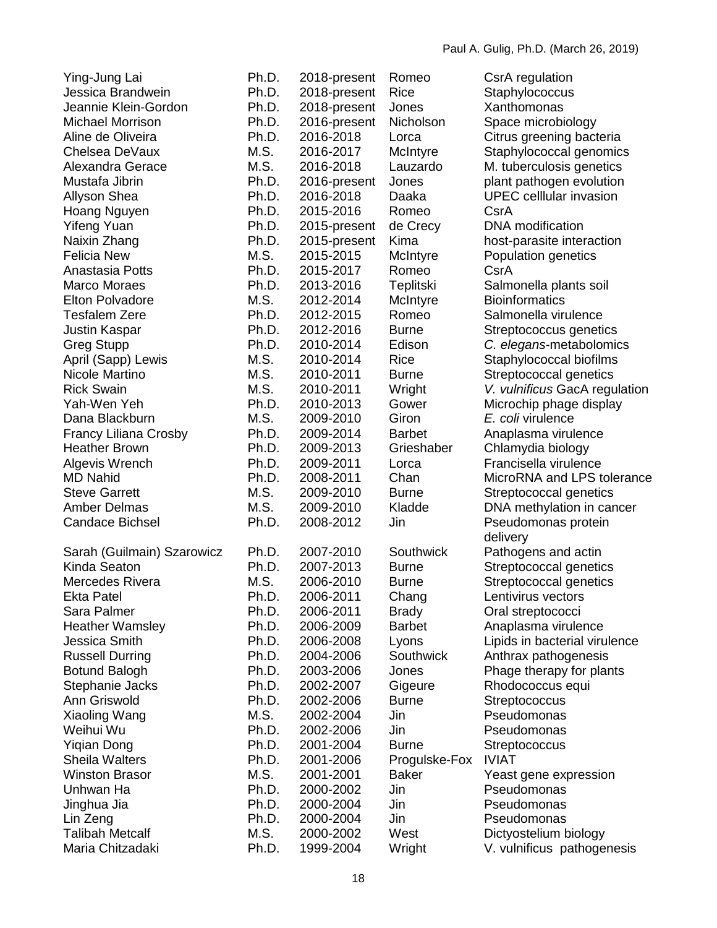Ying-Jung Lai **Ph.D.**<br>
Jessica Brandwein Ph.D. Jessica Brandwein Jeannie Klein-Gordon Ph.D. Michael Morrison Ph.D. Aline de Oliveira **Ph.D.** Chelsea DeVaux M.S. Alexandra Gerace M.S. Mustafa Jibrin **Ph.D.** 2016-present pathogen pathogen pathogen pathogen pathogen pathogen pathogen pathogen pathogen pathogen pathogen pathogen pathogen pathogen pathogen pathogen pathogen pathogen pathogen pathogen pathog Allyson Shea **Ph.D.** Hoang Nguyen Ph.D. Yifeng Yuan Ph.D. Naixin Zhang **Ph.D.** 2015-present Ph.D. Felicia New M.S. Anastasia Potts **Ph.D.** Marco Moraes Ph.D. Elton Polvadore M.S. Tesfalem Zere Ph.D. Justin Kaspar **Ph.D.** Greg Stupp **Ph.D.** April (Sapp) Lewis M.S. Nicole Martino M.S. Yah-Wen Yeh **Ph.D.** Dana Blackburn **M.S.** Francy Liliana Crosby Ph.D. Heather Brown Ph.D. Algevis Wrench Ph.D. Amber Delmas M.S. Candace Bichsel Ph.D. Sarah (Guilmain) Szarowicz Ph.D. Kinda Seaton **Ph.D.** Mercedes Rivera Burne M.S. Sara Palmer Ph.D. Heather Wamsley **Ph.D.** Jessica Smith Ph.D. Russell Durring Ph.D.<br>Botund Balogh Ph.D. Botund Balogh Stephanie Jacks Ph.D. Ann Griswold **Ph.D.** Xiaoling Wang **M.S.** Weihui Wu **Ph.D.** Yigian Dong **Ph.D.** Sheila Walters **Ph.D.** Winston Brasor **M.S.** Unhwan Ha **Ph.D.** Jinghua Jia **Ph.D.** Talibah Metcalf M.S.

| Ying-Jung Lai                | Ph.D. | 2018-present | Romeo         | CsrA regulation                                  |
|------------------------------|-------|--------------|---------------|--------------------------------------------------|
| Jessica Brandwein            | Ph.D. | 2018-present | Rice          | Staphylococcus                                   |
| Jeannie Klein-Gordon         | Ph.D. | 2018-present | Jones         | Xanthomonas                                      |
| <b>Michael Morrison</b>      | Ph.D. | 2016-present | Nicholson     | Space microbiology                               |
| Aline de Oliveira            | Ph.D. | 2016-2018    | Lorca         | Citrus greening bacteria                         |
| Chelsea DeVaux               | M.S.  | 2016-2017    | McIntyre      | Staphylococcal genomics                          |
| Alexandra Gerace             | M.S.  | 2016-2018    | Lauzardo      | M. tuberculosis genetics                         |
| Mustafa Jibrin               | Ph.D. | 2016-present | Jones         | plant pathogen evolution                         |
| Allyson Shea                 | Ph.D. | 2016-2018    | Daaka         | <b>UPEC</b> celllular invasion                   |
| Hoang Nguyen                 | Ph.D. | 2015-2016    | Romeo         | CsrA                                             |
| <b>Yifeng Yuan</b>           | Ph.D. | 2015-present | de Crecy      | DNA modification                                 |
| Naixin Zhang                 | Ph.D. | 2015-present | Kima          | host-parasite interaction                        |
| <b>Felicia New</b>           | M.S.  | 2015-2015    | McIntyre      | Population genetics                              |
| Anastasia Potts              | Ph.D. | 2015-2017    | Romeo         | CsrA                                             |
| <b>Marco Moraes</b>          | Ph.D. | 2013-2016    | Teplitski     | Salmonella plants soil                           |
| <b>Elton Polvadore</b>       | M.S.  | 2012-2014    | McIntyre      | <b>Bioinformatics</b>                            |
| <b>Tesfalem Zere</b>         | Ph.D. | 2012-2015    | Romeo         | Salmonella virulence                             |
| Justin Kaspar                | Ph.D. | 2012-2016    | <b>Burne</b>  | Streptococcus genetics                           |
| <b>Greg Stupp</b>            | Ph.D. | 2010-2014    | Edison        | C. elegans-metabolomics                          |
| April (Sapp) Lewis           | M.S.  | 2010-2014    | Rice          | Staphylococcal biofilms                          |
| Nicole Martino               | M.S.  | 2010-2011    | <b>Burne</b>  | Streptococcal genetics                           |
| <b>Rick Swain</b>            | M.S.  | 2010-2011    | Wright        | V. vulnificus GacA regulation                    |
| Yah-Wen Yeh                  | Ph.D. | 2010-2013    | Gower         | Microchip phage display                          |
| Dana Blackburn               | M.S.  | 2009-2010    | Giron         | E. coli virulence                                |
| <b>Francy Liliana Crosby</b> | Ph.D. | 2009-2014    | <b>Barbet</b> | Anaplasma virulence                              |
| <b>Heather Brown</b>         | Ph.D. | 2009-2013    | Grieshaber    | Chlamydia biology                                |
| Algevis Wrench               | Ph.D. | 2009-2011    | Lorca         | Francisella virulence                            |
| <b>MD Nahid</b>              | Ph.D. | 2008-2011    | Chan          | MicroRNA and LPS tolerance                       |
| <b>Steve Garrett</b>         | M.S.  | 2009-2010    | <b>Burne</b>  | Streptococcal genetics                           |
| <b>Amber Delmas</b>          | M.S.  | 2009-2010    | Kladde        |                                                  |
| <b>Candace Bichsel</b>       | Ph.D. | 2008-2012    | Jin           | DNA methylation in cancer<br>Pseudomonas protein |
|                              |       |              |               | delivery                                         |
| Sarah (Guilmain) Szarowicz   | Ph.D. | 2007-2010    | Southwick     | Pathogens and actin                              |
| Kinda Seaton                 | Ph.D. | 2007-2013    | <b>Burne</b>  | Streptococcal genetics                           |
| Mercedes Rivera              | M.S.  | 2006-2010    | <b>Burne</b>  | Streptococcal genetics                           |
| Ekta Patel                   | Ph.D. | 2006-2011    | Chang         | Lentivirus vectors                               |
| Sara Palmer                  | Ph.D. | 2006-2011    | <b>Brady</b>  | Oral streptococci                                |
| <b>Heather Wamsley</b>       | Ph.D. | 2006-2009    | <b>Barbet</b> | Anaplasma virulence                              |
| Jessica Smith                | Ph.D. | 2006-2008    | Lyons         | Lipids in bacterial virulence                    |
| <b>Russell Durring</b>       | Ph.D. | 2004-2006    | Southwick     | Anthrax pathogenesis                             |
| <b>Botund Balogh</b>         | Ph.D. | 2003-2006    | Jones         | Phage therapy for plants                         |
| Stephanie Jacks              | Ph.D. | 2002-2007    | Gigeure       | Rhodococcus equi                                 |
| Ann Griswold                 | Ph.D. | 2002-2006    | <b>Burne</b>  | Streptococcus                                    |
| Xiaoling Wang                | M.S.  | 2002-2004    | Jin           | Pseudomonas                                      |
| Weihui Wu                    | Ph.D. | 2002-2006    | Jin           | Pseudomonas                                      |
| <b>Yiqian Dong</b>           | Ph.D. | 2001-2004    | <b>Burne</b>  | Streptococcus                                    |
| <b>Sheila Walters</b>        | Ph.D. | 2001-2006    | Progulske-Fox | <b>IVIAT</b>                                     |
| <b>Winston Brasor</b>        | M.S.  | 2001-2001    | <b>Baker</b>  | Yeast gene expression                            |
| Unhwan Ha                    | Ph.D. | 2000-2002    | Jin           | Pseudomonas                                      |
| Jinghua Jia                  | Ph.D. | 2000-2004    | Jin           | Pseudomonas                                      |
| Lin Zeng                     | Ph.D. | 2000-2004    | Jin           | Pseudomonas                                      |
| <b>Talibah Metcalf</b>       | M.S.  | 2000-2002    | West          | Dictyostelium biology                            |
| Maria Chitzadaki             | Ph.D. | 1999-2004    | Wright        | V. vulnificus pathogenesis                       |
|                              |       |              |               |                                                  |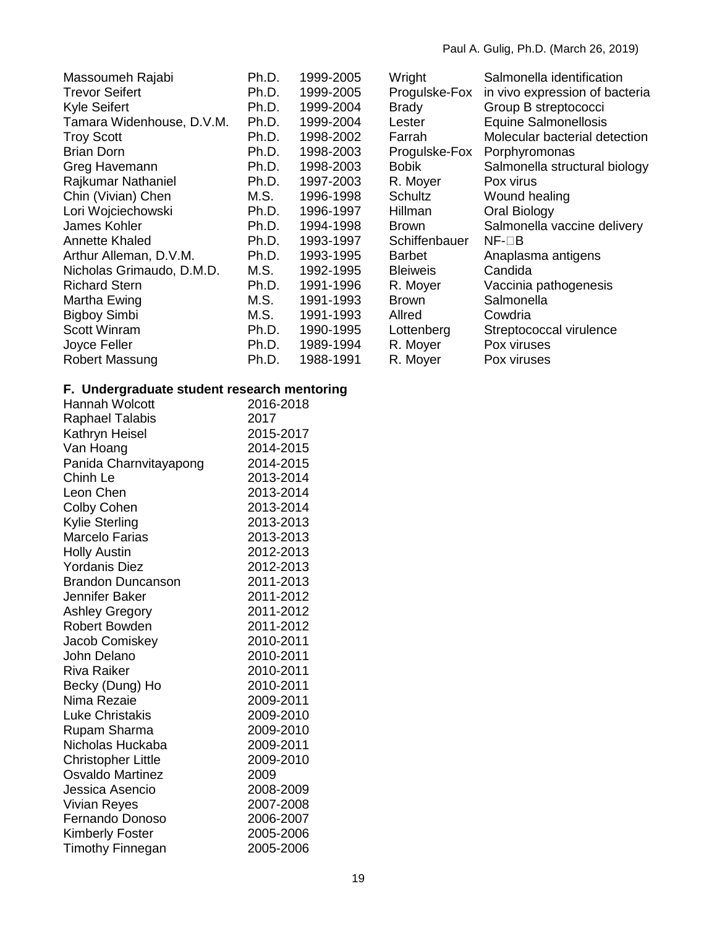| Massoumeh Rajabi          | Ph.D. | 1999-2005 | Wright          | Salmonella identification      |
|---------------------------|-------|-----------|-----------------|--------------------------------|
| <b>Trevor Seifert</b>     | Ph.D. | 1999-2005 | Progulske-Fox   | in vivo expression of bacteria |
| <b>Kyle Seifert</b>       | Ph.D. | 1999-2004 | <b>Brady</b>    | Group B streptococci           |
| Tamara Widenhouse, D.V.M. | Ph.D. | 1999-2004 | Lester          | <b>Equine Salmonellosis</b>    |
| <b>Troy Scott</b>         | Ph.D. | 1998-2002 | Farrah          | Molecular bacterial detection  |
| <b>Brian Dorn</b>         | Ph.D. | 1998-2003 | Progulske-Fox   | Porphyromonas                  |
| Greg Havemann             | Ph.D. | 1998-2003 | <b>Bobik</b>    | Salmonella structural biology  |
| Rajkumar Nathaniel        | Ph.D. | 1997-2003 | R. Moyer        | Pox virus                      |
| Chin (Vivian) Chen        | M.S.  | 1996-1998 | <b>Schultz</b>  | Wound healing                  |
| Lori Wojciechowski        | Ph.D. | 1996-1997 | Hillman         | <b>Oral Biology</b>            |
| James Kohler              | Ph.D. | 1994-1998 | <b>Brown</b>    | Salmonella vaccine delivery    |
| Annette Khaled            | Ph.D. | 1993-1997 | Schiffenbauer   | $NF$ - $\Box B$                |
| Arthur Alleman, D.V.M.    | Ph.D. | 1993-1995 | <b>Barbet</b>   | Anaplasma antigens             |
| Nicholas Grimaudo, D.M.D. | M.S.  | 1992-1995 | <b>Bleiweis</b> | Candida                        |
| <b>Richard Stern</b>      | Ph.D. | 1991-1996 | R. Moyer        | Vaccinia pathogenesis          |
| Martha Ewing              | M.S.  | 1991-1993 | Brown           | Salmonella                     |
| <b>Bigboy Simbi</b>       | M.S.  | 1991-1993 | Allred          | Cowdria                        |
| <b>Scott Winram</b>       | Ph.D. | 1990-1995 | Lottenberg      | Streptococcal virulence        |
| Joyce Feller              | Ph.D. | 1989-1994 | R. Moyer        | Pox viruses                    |
| Robert Massung            | Ph.D. | 1988-1991 | R. Moyer        | Pox viruses                    |

# **F. Undergraduate student research mentoring**

| <b>Hannah Wolcott</b>     | 2016-2018 |
|---------------------------|-----------|
| <b>Raphael Talabis</b>    | 2017      |
| Kathryn Heisel            | 2015-2017 |
| Van Hoang                 | 2014-2015 |
| Panida Charnvitayapong    | 2014-2015 |
| Chinh Le                  | 2013-2014 |
| Leon Chen                 | 2013-2014 |
| <b>Colby Cohen</b>        | 2013-2014 |
| Kylie Sterling            | 2013-2013 |
| <b>Marcelo Farias</b>     | 2013-2013 |
| <b>Holly Austin</b>       | 2012-2013 |
| <b>Yordanis Diez</b>      | 2012-2013 |
| <b>Brandon Duncanson</b>  | 2011-2013 |
| Jennifer Baker            | 2011-2012 |
| <b>Ashley Gregory</b>     | 2011-2012 |
| <b>Robert Bowden</b>      | 2011-2012 |
| Jacob Comiskey            | 2010-2011 |
| John Delano               | 2010-2011 |
| <b>Riva Raiker</b>        | 2010-2011 |
| Becky (Dung) Ho           | 2010-2011 |
| Nima Rezaie               | 2009-2011 |
| <b>Luke Christakis</b>    | 2009-2010 |
| <b>Rupam Sharma</b>       | 2009-2010 |
| Nicholas Huckaba          | 2009-2011 |
| <b>Christopher Little</b> | 2009-2010 |
| <b>Osvaldo Martinez</b>   | 2009      |
| Jessica Asencio           | 2008-2009 |
| <b>Vivian Reyes</b>       | 2007-2008 |
| <b>Fernando Donoso</b>    | 2006-2007 |
| Kimberly Foster           | 2005-2006 |
| <b>Timothy Finnegan</b>   | 2005-2006 |
|                           |           |